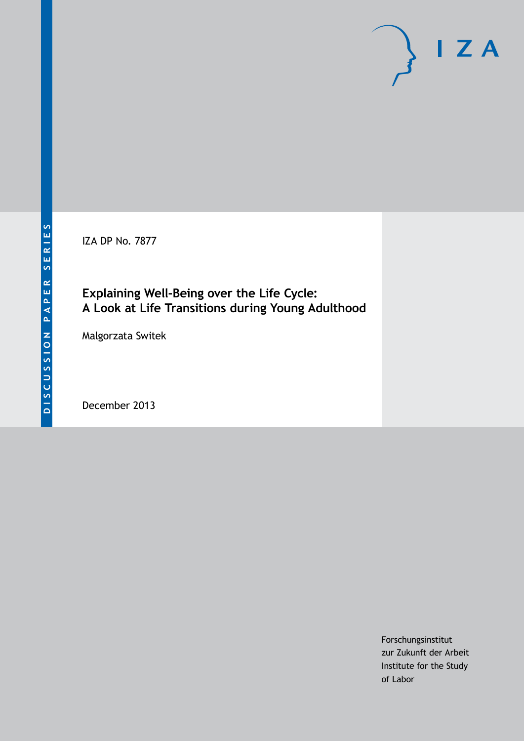IZA DP No. 7877

### **Explaining Well-Being over the Life Cycle: A Look at Life Transitions during Young Adulthood**

Malgorzata Switek

December 2013

Forschungsinstitut zur Zukunft der Arbeit Institute for the Study of Labor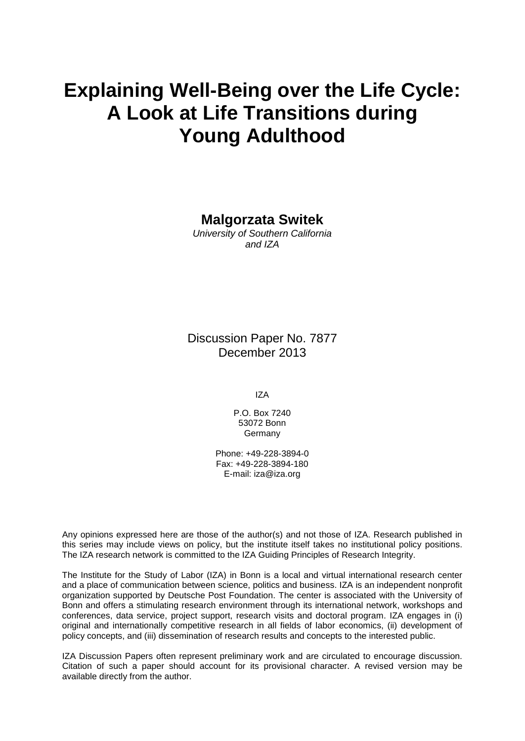# **Explaining Well-Being over the Life Cycle: A Look at Life Transitions during Young Adulthood**

#### **Malgorzata Switek**

*University of Southern California and IZA*

Discussion Paper No. 7877 December 2013

IZA

P.O. Box 7240 53072 Bonn **Germany** 

Phone: +49-228-3894-0 Fax: +49-228-3894-180 E-mail: [iza@iza.org](mailto:iza@iza.org)

Any opinions expressed here are those of the author(s) and not those of IZA. Research published in this series may include views on policy, but the institute itself takes no institutional policy positions. The IZA research network is committed to the IZA Guiding Principles of Research Integrity.

The Institute for the Study of Labor (IZA) in Bonn is a local and virtual international research center and a place of communication between science, politics and business. IZA is an independent nonprofit organization supported by Deutsche Post Foundation. The center is associated with the University of Bonn and offers a stimulating research environment through its international network, workshops and conferences, data service, project support, research visits and doctoral program. IZA engages in (i) original and internationally competitive research in all fields of labor economics, (ii) development of policy concepts, and (iii) dissemination of research results and concepts to the interested public.

IZA Discussion Papers often represent preliminary work and are circulated to encourage discussion. Citation of such a paper should account for its provisional character. A revised version may be available directly from the author.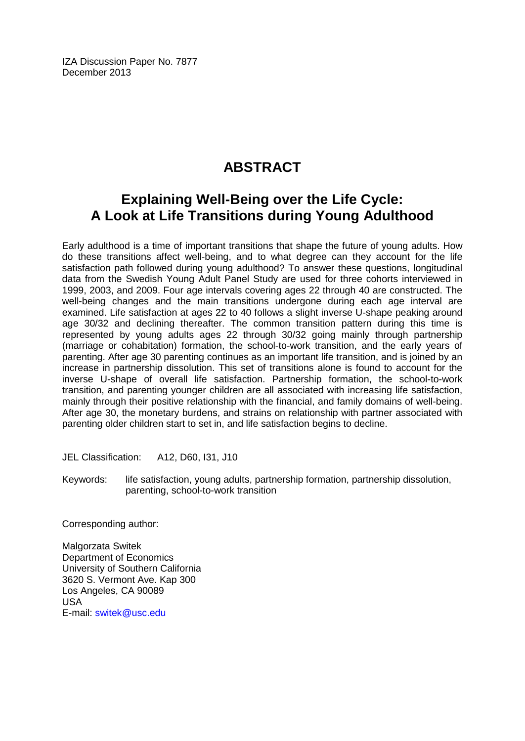IZA Discussion Paper No. 7877 December 2013

## **ABSTRACT**

### **Explaining Well-Being over the Life Cycle: A Look at Life Transitions during Young Adulthood**

Early adulthood is a time of important transitions that shape the future of young adults. How do these transitions affect well-being, and to what degree can they account for the life satisfaction path followed during young adulthood? To answer these questions, longitudinal data from the Swedish Young Adult Panel Study are used for three cohorts interviewed in 1999, 2003, and 2009. Four age intervals covering ages 22 through 40 are constructed. The well-being changes and the main transitions undergone during each age interval are examined. Life satisfaction at ages 22 to 40 follows a slight inverse U-shape peaking around age 30/32 and declining thereafter. The common transition pattern during this time is represented by young adults ages 22 through 30/32 going mainly through partnership (marriage or cohabitation) formation, the school-to-work transition, and the early years of parenting. After age 30 parenting continues as an important life transition, and is joined by an increase in partnership dissolution. This set of transitions alone is found to account for the inverse U-shape of overall life satisfaction. Partnership formation, the school-to-work transition, and parenting younger children are all associated with increasing life satisfaction, mainly through their positive relationship with the financial, and family domains of well-being. After age 30, the monetary burdens, and strains on relationship with partner associated with parenting older children start to set in, and life satisfaction begins to decline.

JEL Classification: A12, D60, I31, J10

Keywords: life satisfaction, young adults, partnership formation, partnership dissolution, parenting, school-to-work transition

Corresponding author:

Malgorzata Switek Department of Economics University of Southern California 3620 S. Vermont Ave. Kap 300 Los Angeles, CA 90089 USA E-mail: [switek@usc.edu](mailto:switek@usc.edu)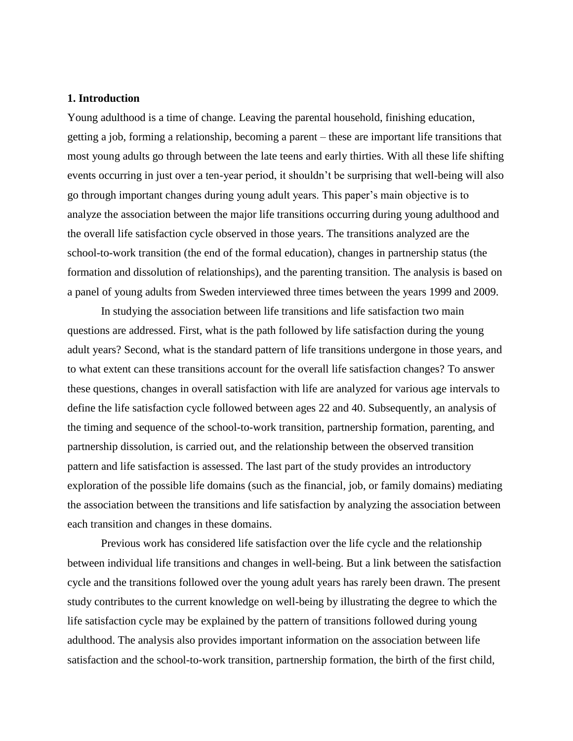#### **1. Introduction**

Young adulthood is a time of change. Leaving the parental household, finishing education, getting a job, forming a relationship, becoming a parent – these are important life transitions that most young adults go through between the late teens and early thirties. With all these life shifting events occurring in just over a ten-year period, it shouldn't be surprising that well-being will also go through important changes during young adult years. This paper's main objective is to analyze the association between the major life transitions occurring during young adulthood and the overall life satisfaction cycle observed in those years. The transitions analyzed are the school-to-work transition (the end of the formal education), changes in partnership status (the formation and dissolution of relationships), and the parenting transition. The analysis is based on a panel of young adults from Sweden interviewed three times between the years 1999 and 2009.

In studying the association between life transitions and life satisfaction two main questions are addressed. First, what is the path followed by life satisfaction during the young adult years? Second, what is the standard pattern of life transitions undergone in those years, and to what extent can these transitions account for the overall life satisfaction changes? To answer these questions, changes in overall satisfaction with life are analyzed for various age intervals to define the life satisfaction cycle followed between ages 22 and 40. Subsequently, an analysis of the timing and sequence of the school-to-work transition, partnership formation, parenting, and partnership dissolution, is carried out, and the relationship between the observed transition pattern and life satisfaction is assessed. The last part of the study provides an introductory exploration of the possible life domains (such as the financial, job, or family domains) mediating the association between the transitions and life satisfaction by analyzing the association between each transition and changes in these domains.

Previous work has considered life satisfaction over the life cycle and the relationship between individual life transitions and changes in well-being. But a link between the satisfaction cycle and the transitions followed over the young adult years has rarely been drawn. The present study contributes to the current knowledge on well-being by illustrating the degree to which the life satisfaction cycle may be explained by the pattern of transitions followed during young adulthood. The analysis also provides important information on the association between life satisfaction and the school-to-work transition, partnership formation, the birth of the first child,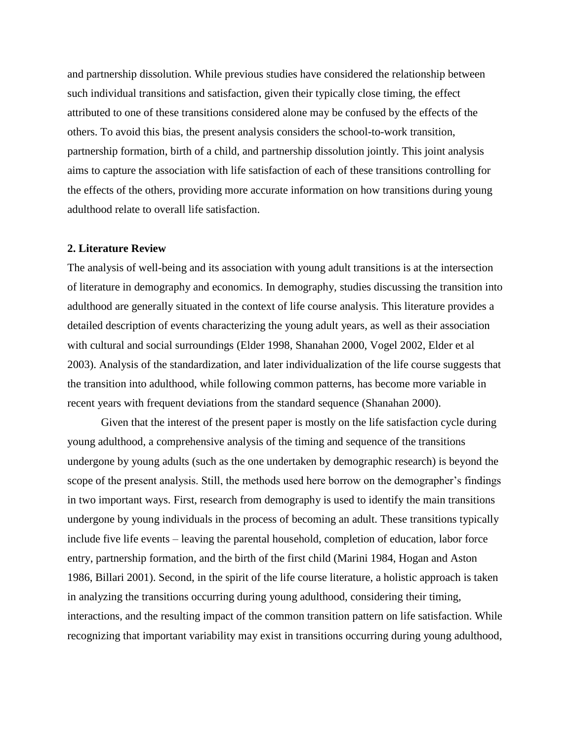and partnership dissolution. While previous studies have considered the relationship between such individual transitions and satisfaction, given their typically close timing, the effect attributed to one of these transitions considered alone may be confused by the effects of the others. To avoid this bias, the present analysis considers the school-to-work transition, partnership formation, birth of a child, and partnership dissolution jointly. This joint analysis aims to capture the association with life satisfaction of each of these transitions controlling for the effects of the others, providing more accurate information on how transitions during young adulthood relate to overall life satisfaction.

#### **2. Literature Review**

The analysis of well-being and its association with young adult transitions is at the intersection of literature in demography and economics. In demography, studies discussing the transition into adulthood are generally situated in the context of life course analysis. This literature provides a detailed description of events characterizing the young adult years, as well as their association with cultural and social surroundings (Elder 1998, Shanahan 2000, Vogel 2002, Elder et al 2003). Analysis of the standardization, and later individualization of the life course suggests that the transition into adulthood, while following common patterns, has become more variable in recent years with frequent deviations from the standard sequence (Shanahan 2000).

Given that the interest of the present paper is mostly on the life satisfaction cycle during young adulthood, a comprehensive analysis of the timing and sequence of the transitions undergone by young adults (such as the one undertaken by demographic research) is beyond the scope of the present analysis. Still, the methods used here borrow on the demographer's findings in two important ways. First, research from demography is used to identify the main transitions undergone by young individuals in the process of becoming an adult. These transitions typically include five life events – leaving the parental household, completion of education, labor force entry, partnership formation, and the birth of the first child (Marini 1984, Hogan and Aston 1986, Billari 2001). Second, in the spirit of the life course literature, a holistic approach is taken in analyzing the transitions occurring during young adulthood, considering their timing, interactions, and the resulting impact of the common transition pattern on life satisfaction. While recognizing that important variability may exist in transitions occurring during young adulthood,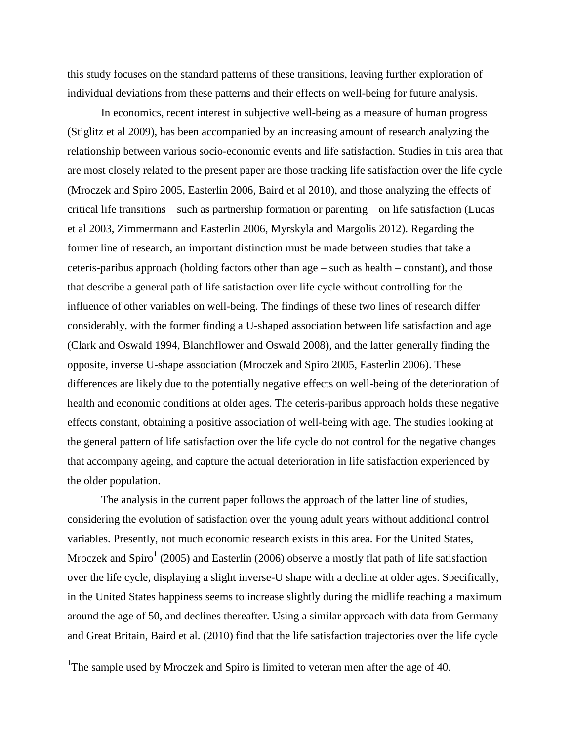this study focuses on the standard patterns of these transitions, leaving further exploration of individual deviations from these patterns and their effects on well-being for future analysis.

In economics, recent interest in subjective well-being as a measure of human progress (Stiglitz et al 2009), has been accompanied by an increasing amount of research analyzing the relationship between various socio-economic events and life satisfaction. Studies in this area that are most closely related to the present paper are those tracking life satisfaction over the life cycle (Mroczek and Spiro 2005, Easterlin 2006, Baird et al 2010), and those analyzing the effects of critical life transitions – such as partnership formation or parenting – on life satisfaction (Lucas et al 2003, Zimmermann and Easterlin 2006, Myrskyla and Margolis 2012). Regarding the former line of research, an important distinction must be made between studies that take a ceteris-paribus approach (holding factors other than age – such as health – constant), and those that describe a general path of life satisfaction over life cycle without controlling for the influence of other variables on well-being. The findings of these two lines of research differ considerably, with the former finding a U-shaped association between life satisfaction and age (Clark and Oswald 1994, Blanchflower and Oswald 2008), and the latter generally finding the opposite, inverse U-shape association (Mroczek and Spiro 2005, Easterlin 2006). These differences are likely due to the potentially negative effects on well-being of the deterioration of health and economic conditions at older ages. The ceteris-paribus approach holds these negative effects constant, obtaining a positive association of well-being with age. The studies looking at the general pattern of life satisfaction over the life cycle do not control for the negative changes that accompany ageing, and capture the actual deterioration in life satisfaction experienced by the older population.

The analysis in the current paper follows the approach of the latter line of studies, considering the evolution of satisfaction over the young adult years without additional control variables. Presently, not much economic research exists in this area. For the United States, Mroczek and Spiro<sup>1</sup> (2005) and Easterlin (2006) observe a mostly flat path of life satisfaction over the life cycle, displaying a slight inverse-U shape with a decline at older ages. Specifically, in the United States happiness seems to increase slightly during the midlife reaching a maximum around the age of 50, and declines thereafter. Using a similar approach with data from Germany and Great Britain, Baird et al. (2010) find that the life satisfaction trajectories over the life cycle

 $\overline{\phantom{a}}$ 

<sup>&</sup>lt;sup>1</sup>The sample used by Mroczek and Spiro is limited to veteran men after the age of 40.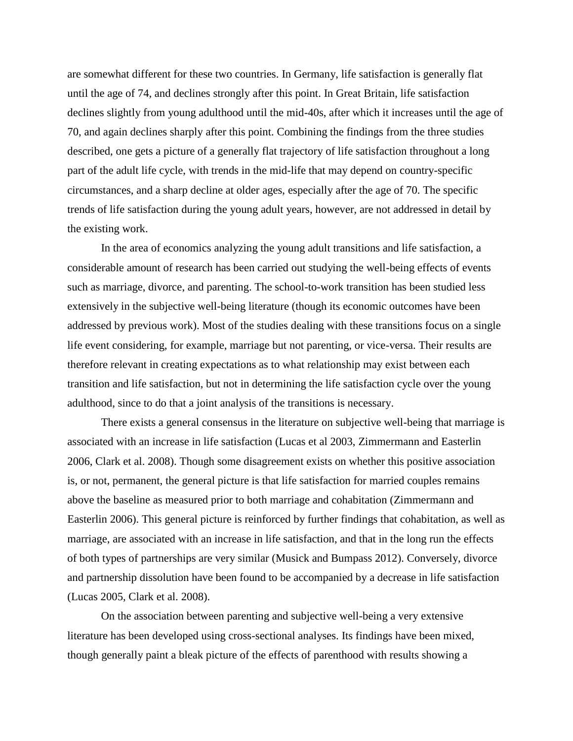are somewhat different for these two countries. In Germany, life satisfaction is generally flat until the age of 74, and declines strongly after this point. In Great Britain, life satisfaction declines slightly from young adulthood until the mid-40s, after which it increases until the age of 70, and again declines sharply after this point. Combining the findings from the three studies described, one gets a picture of a generally flat trajectory of life satisfaction throughout a long part of the adult life cycle, with trends in the mid-life that may depend on country-specific circumstances, and a sharp decline at older ages, especially after the age of 70. The specific trends of life satisfaction during the young adult years, however, are not addressed in detail by the existing work.

In the area of economics analyzing the young adult transitions and life satisfaction, a considerable amount of research has been carried out studying the well-being effects of events such as marriage, divorce, and parenting. The school-to-work transition has been studied less extensively in the subjective well-being literature (though its economic outcomes have been addressed by previous work). Most of the studies dealing with these transitions focus on a single life event considering, for example, marriage but not parenting, or vice-versa. Their results are therefore relevant in creating expectations as to what relationship may exist between each transition and life satisfaction, but not in determining the life satisfaction cycle over the young adulthood, since to do that a joint analysis of the transitions is necessary.

There exists a general consensus in the literature on subjective well-being that marriage is associated with an increase in life satisfaction (Lucas et al 2003, Zimmermann and Easterlin 2006, Clark et al. 2008). Though some disagreement exists on whether this positive association is, or not, permanent, the general picture is that life satisfaction for married couples remains above the baseline as measured prior to both marriage and cohabitation (Zimmermann and Easterlin 2006). This general picture is reinforced by further findings that cohabitation, as well as marriage, are associated with an increase in life satisfaction, and that in the long run the effects of both types of partnerships are very similar (Musick and Bumpass 2012). Conversely, divorce and partnership dissolution have been found to be accompanied by a decrease in life satisfaction (Lucas 2005, Clark et al. 2008).

On the association between parenting and subjective well-being a very extensive literature has been developed using cross-sectional analyses. Its findings have been mixed, though generally paint a bleak picture of the effects of parenthood with results showing a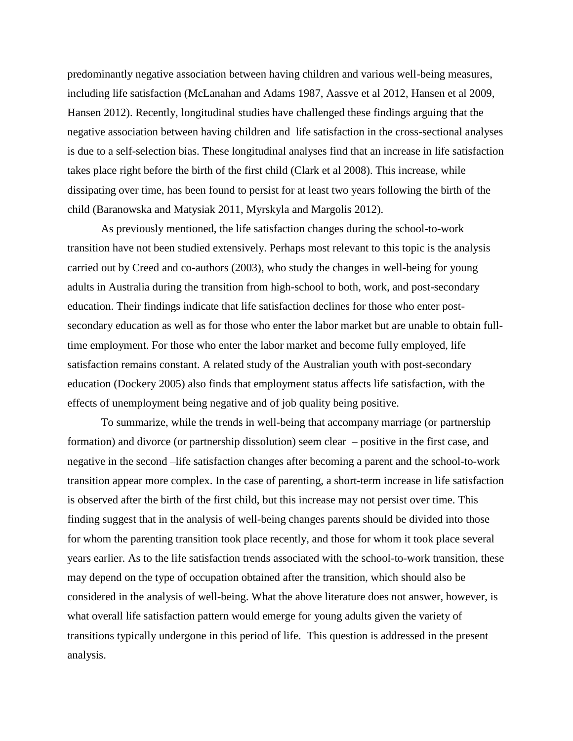predominantly negative association between having children and various well-being measures, including life satisfaction (McLanahan and Adams 1987, Aassve et al 2012, Hansen et al 2009, Hansen 2012). Recently, longitudinal studies have challenged these findings arguing that the negative association between having children and life satisfaction in the cross-sectional analyses is due to a self-selection bias. These longitudinal analyses find that an increase in life satisfaction takes place right before the birth of the first child (Clark et al 2008). This increase, while dissipating over time, has been found to persist for at least two years following the birth of the child (Baranowska and Matysiak 2011, Myrskyla and Margolis 2012).

As previously mentioned, the life satisfaction changes during the school-to-work transition have not been studied extensively. Perhaps most relevant to this topic is the analysis carried out by Creed and co-authors (2003), who study the changes in well-being for young adults in Australia during the transition from high-school to both, work, and post-secondary education. Their findings indicate that life satisfaction declines for those who enter postsecondary education as well as for those who enter the labor market but are unable to obtain fulltime employment. For those who enter the labor market and become fully employed, life satisfaction remains constant. A related study of the Australian youth with post-secondary education (Dockery 2005) also finds that employment status affects life satisfaction, with the effects of unemployment being negative and of job quality being positive.

To summarize, while the trends in well-being that accompany marriage (or partnership formation) and divorce (or partnership dissolution) seem clear – positive in the first case, and negative in the second –life satisfaction changes after becoming a parent and the school-to-work transition appear more complex. In the case of parenting, a short-term increase in life satisfaction is observed after the birth of the first child, but this increase may not persist over time. This finding suggest that in the analysis of well-being changes parents should be divided into those for whom the parenting transition took place recently, and those for whom it took place several years earlier. As to the life satisfaction trends associated with the school-to-work transition, these may depend on the type of occupation obtained after the transition, which should also be considered in the analysis of well-being. What the above literature does not answer, however, is what overall life satisfaction pattern would emerge for young adults given the variety of transitions typically undergone in this period of life. This question is addressed in the present analysis.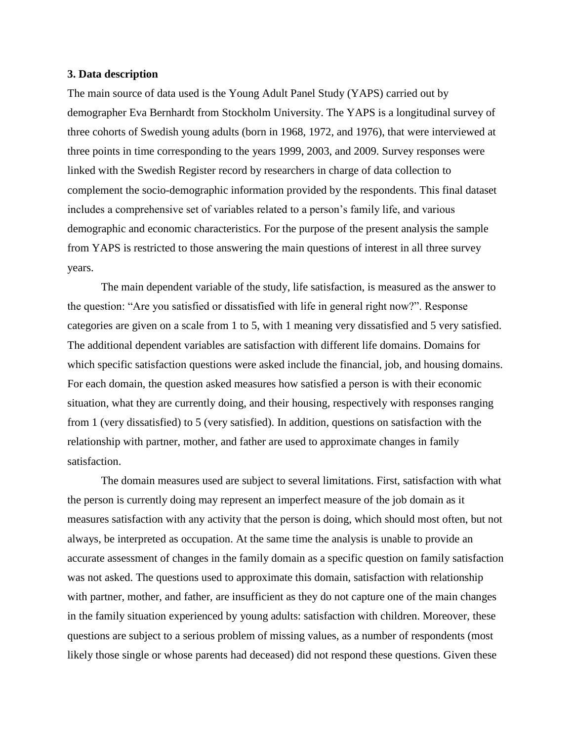#### **3. Data description**

The main source of data used is the Young Adult Panel Study (YAPS) carried out by demographer Eva Bernhardt from Stockholm University. The YAPS is a longitudinal survey of three cohorts of Swedish young adults (born in 1968, 1972, and 1976), that were interviewed at three points in time corresponding to the years 1999, 2003, and 2009. Survey responses were linked with the Swedish Register record by researchers in charge of data collection to complement the socio-demographic information provided by the respondents. This final dataset includes a comprehensive set of variables related to a person's family life, and various demographic and economic characteristics. For the purpose of the present analysis the sample from YAPS is restricted to those answering the main questions of interest in all three survey years.

The main dependent variable of the study, life satisfaction, is measured as the answer to the question: "Are you satisfied or dissatisfied with life in general right now?". Response categories are given on a scale from 1 to 5, with 1 meaning very dissatisfied and 5 very satisfied. The additional dependent variables are satisfaction with different life domains. Domains for which specific satisfaction questions were asked include the financial, job, and housing domains. For each domain, the question asked measures how satisfied a person is with their economic situation, what they are currently doing, and their housing, respectively with responses ranging from 1 (very dissatisfied) to 5 (very satisfied). In addition, questions on satisfaction with the relationship with partner, mother, and father are used to approximate changes in family satisfaction.

The domain measures used are subject to several limitations. First, satisfaction with what the person is currently doing may represent an imperfect measure of the job domain as it measures satisfaction with any activity that the person is doing, which should most often, but not always, be interpreted as occupation. At the same time the analysis is unable to provide an accurate assessment of changes in the family domain as a specific question on family satisfaction was not asked. The questions used to approximate this domain, satisfaction with relationship with partner, mother, and father, are insufficient as they do not capture one of the main changes in the family situation experienced by young adults: satisfaction with children. Moreover, these questions are subject to a serious problem of missing values, as a number of respondents (most likely those single or whose parents had deceased) did not respond these questions. Given these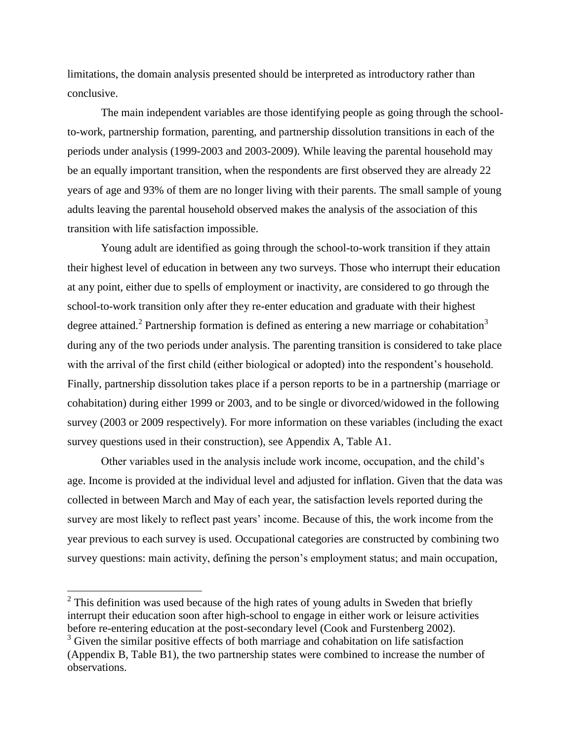limitations, the domain analysis presented should be interpreted as introductory rather than conclusive.

The main independent variables are those identifying people as going through the schoolto-work, partnership formation, parenting, and partnership dissolution transitions in each of the periods under analysis (1999-2003 and 2003-2009). While leaving the parental household may be an equally important transition, when the respondents are first observed they are already 22 years of age and 93% of them are no longer living with their parents. The small sample of young adults leaving the parental household observed makes the analysis of the association of this transition with life satisfaction impossible.

Young adult are identified as going through the school-to-work transition if they attain their highest level of education in between any two surveys. Those who interrupt their education at any point, either due to spells of employment or inactivity, are considered to go through the school-to-work transition only after they re-enter education and graduate with their highest degree attained.<sup>2</sup> Partnership formation is defined as entering a new marriage or cohabitation<sup>3</sup> during any of the two periods under analysis. The parenting transition is considered to take place with the arrival of the first child (either biological or adopted) into the respondent's household. Finally, partnership dissolution takes place if a person reports to be in a partnership (marriage or cohabitation) during either 1999 or 2003, and to be single or divorced/widowed in the following survey (2003 or 2009 respectively). For more information on these variables (including the exact survey questions used in their construction), see Appendix A, Table A1.

Other variables used in the analysis include work income, occupation, and the child's age. Income is provided at the individual level and adjusted for inflation. Given that the data was collected in between March and May of each year, the satisfaction levels reported during the survey are most likely to reflect past years' income. Because of this, the work income from the year previous to each survey is used. Occupational categories are constructed by combining two survey questions: main activity, defining the person's employment status; and main occupation,

 $\overline{\phantom{a}}$ 

 $2$  This definition was used because of the high rates of young adults in Sweden that briefly interrupt their education soon after high-school to engage in either work or leisure activities before re-entering education at the post-secondary level (Cook and Furstenberg 2002).

 $3$  Given the similar positive effects of both marriage and cohabitation on life satisfaction (Appendix B, Table B1), the two partnership states were combined to increase the number of observations.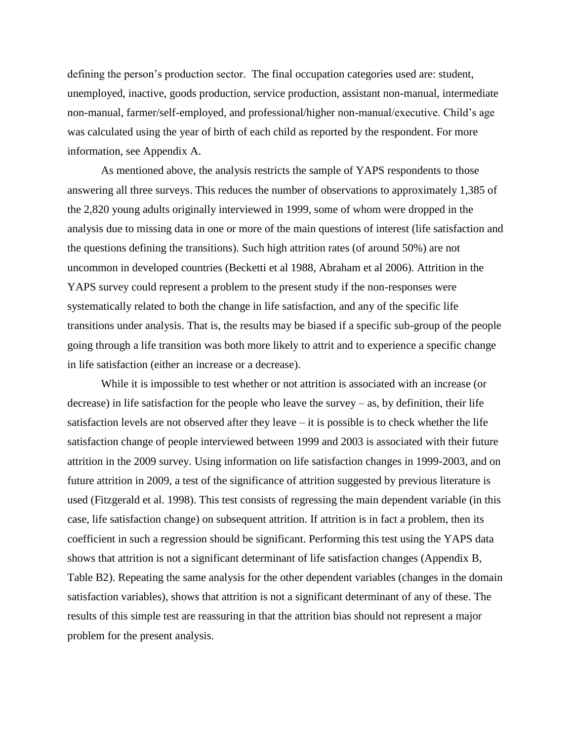defining the person's production sector. The final occupation categories used are: student, unemployed, inactive, goods production, service production, assistant non-manual, intermediate non-manual, farmer/self-employed, and professional/higher non-manual/executive. Child's age was calculated using the year of birth of each child as reported by the respondent. For more information, see Appendix A.

As mentioned above, the analysis restricts the sample of YAPS respondents to those answering all three surveys. This reduces the number of observations to approximately 1,385 of the 2,820 young adults originally interviewed in 1999, some of whom were dropped in the analysis due to missing data in one or more of the main questions of interest (life satisfaction and the questions defining the transitions). Such high attrition rates (of around 50%) are not uncommon in developed countries (Becketti et al 1988, Abraham et al 2006). Attrition in the YAPS survey could represent a problem to the present study if the non-responses were systematically related to both the change in life satisfaction, and any of the specific life transitions under analysis. That is, the results may be biased if a specific sub-group of the people going through a life transition was both more likely to attrit and to experience a specific change in life satisfaction (either an increase or a decrease).

While it is impossible to test whether or not attrition is associated with an increase (or decrease) in life satisfaction for the people who leave the survey – as, by definition, their life satisfaction levels are not observed after they leave – it is possible is to check whether the life satisfaction change of people interviewed between 1999 and 2003 is associated with their future attrition in the 2009 survey. Using information on life satisfaction changes in 1999-2003, and on future attrition in 2009, a test of the significance of attrition suggested by previous literature is used (Fitzgerald et al. 1998). This test consists of regressing the main dependent variable (in this case, life satisfaction change) on subsequent attrition. If attrition is in fact a problem, then its coefficient in such a regression should be significant. Performing this test using the YAPS data shows that attrition is not a significant determinant of life satisfaction changes (Appendix B, Table B2). Repeating the same analysis for the other dependent variables (changes in the domain satisfaction variables), shows that attrition is not a significant determinant of any of these. The results of this simple test are reassuring in that the attrition bias should not represent a major problem for the present analysis.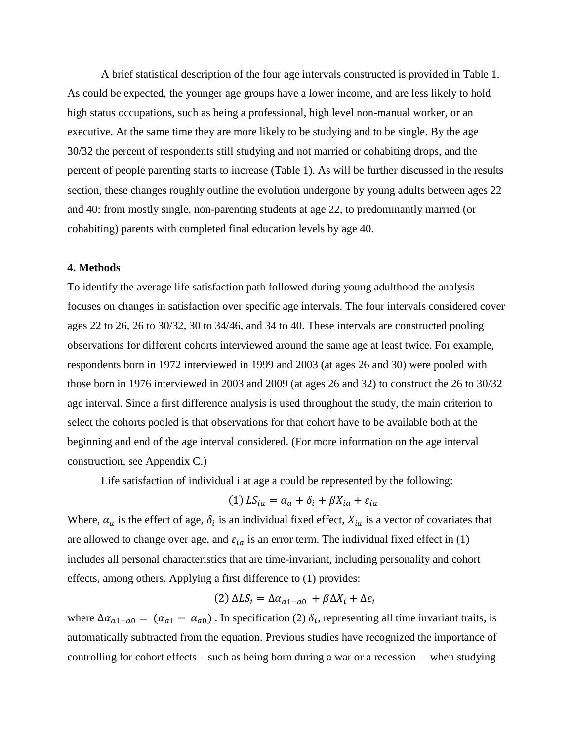A brief statistical description of the four age intervals constructed is provided in Table 1. As could be expected, the younger age groups have a lower income, and are less likely to hold high status occupations, such as being a professional, high level non-manual worker, or an executive. At the same time they are more likely to be studying and to be single. By the age 30/32 the percent of respondents still studying and not married or cohabiting drops, and the percent of people parenting starts to increase (Table 1). As will be further discussed in the results section, these changes roughly outline the evolution undergone by young adults between ages 22 and 40: from mostly single, non-parenting students at age 22, to predominantly married (or cohabiting) parents with completed final education levels by age 40.

#### **4. Methods**

To identify the average life satisfaction path followed during young adulthood the analysis focuses on changes in satisfaction over specific age intervals. The four intervals considered cover ages 22 to 26, 26 to 30/32, 30 to 34/46, and 34 to 40. These intervals are constructed pooling observations for different cohorts interviewed around the same age at least twice. For example, respondents born in 1972 interviewed in 1999 and 2003 (at ages 26 and 30) were pooled with those born in 1976 interviewed in 2003 and 2009 (at ages 26 and 32) to construct the 26 to 30/32 age interval. Since a first difference analysis is used throughout the study, the main criterion to select the cohorts pooled is that observations for that cohort have to be available both at the beginning and end of the age interval considered. (For more information on the age interval construction, see Appendix C.)

Life satisfaction of individual i at age a could be represented by the following:

$$
(1) LS_{ia} = \alpha_a + \delta_i + \beta X_{ia} + \varepsilon_{ia}
$$

Where,  $\alpha_a$  is the effect of age,  $\delta_i$  is an individual fixed effect,  $X_{ia}$  is a vector of covariates that are allowed to change over age, and  $\varepsilon_{ia}$  is an error term. The individual fixed effect in (1) includes all personal characteristics that are time-invariant, including personality and cohort effects, among others. Applying a first difference to (1) provides:

$$
(2) \Delta L S_i = \Delta \alpha_{a1 - a0} + \beta \Delta X_i + \Delta \varepsilon_i
$$

where  $\Delta \alpha_{a1-a0} = (\alpha_{a1} - \alpha_{a0})$ . In specification (2)  $\delta_i$ , representing all time invariant traits, is automatically subtracted from the equation. Previous studies have recognized the importance of controlling for cohort effects – such as being born during a war or a recession – when studying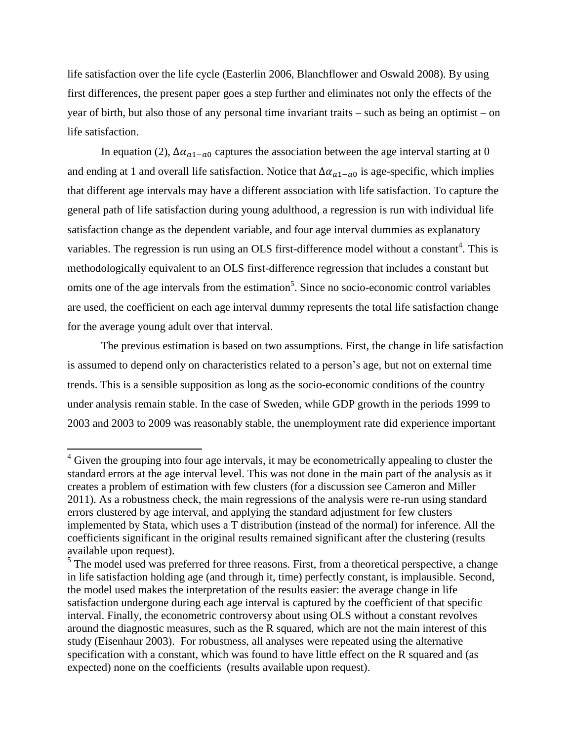life satisfaction over the life cycle (Easterlin 2006, Blanchflower and Oswald 2008). By using first differences, the present paper goes a step further and eliminates not only the effects of the year of birth, but also those of any personal time invariant traits – such as being an optimist – on life satisfaction.

In equation (2),  $\Delta \alpha_{a1-a0}$  captures the association between the age interval starting at 0 and ending at 1 and overall life satisfaction. Notice that  $\Delta \alpha_{a1-a0}$  is age-specific, which implies that different age intervals may have a different association with life satisfaction. To capture the general path of life satisfaction during young adulthood, a regression is run with individual life satisfaction change as the dependent variable, and four age interval dummies as explanatory variables. The regression is run using an OLS first-difference model without a constant<sup>4</sup>. This is methodologically equivalent to an OLS first-difference regression that includes a constant but omits one of the age intervals from the estimation<sup>5</sup>. Since no socio-economic control variables are used, the coefficient on each age interval dummy represents the total life satisfaction change for the average young adult over that interval.

The previous estimation is based on two assumptions. First, the change in life satisfaction is assumed to depend only on characteristics related to a person's age, but not on external time trends. This is a sensible supposition as long as the socio-economic conditions of the country under analysis remain stable. In the case of Sweden, while GDP growth in the periods 1999 to 2003 and 2003 to 2009 was reasonably stable, the unemployment rate did experience important

 $\overline{\phantom{a}}$ 

 $4$  Given the grouping into four age intervals, it may be econometrically appealing to cluster the standard errors at the age interval level. This was not done in the main part of the analysis as it creates a problem of estimation with few clusters (for a discussion see Cameron and Miller 2011). As a robustness check, the main regressions of the analysis were re-run using standard errors clustered by age interval, and applying the standard adjustment for few clusters implemented by Stata, which uses a T distribution (instead of the normal) for inference. All the coefficients significant in the original results remained significant after the clustering (results available upon request).

<sup>&</sup>lt;sup>5</sup> The model used was preferred for three reasons. First, from a theoretical perspective, a change in life satisfaction holding age (and through it, time) perfectly constant, is implausible. Second, the model used makes the interpretation of the results easier: the average change in life satisfaction undergone during each age interval is captured by the coefficient of that specific interval. Finally, the econometric controversy about using OLS without a constant revolves around the diagnostic measures, such as the R squared, which are not the main interest of this study (Eisenhaur 2003). For robustness, all analyses were repeated using the alternative specification with a constant, which was found to have little effect on the R squared and (as expected) none on the coefficients (results available upon request).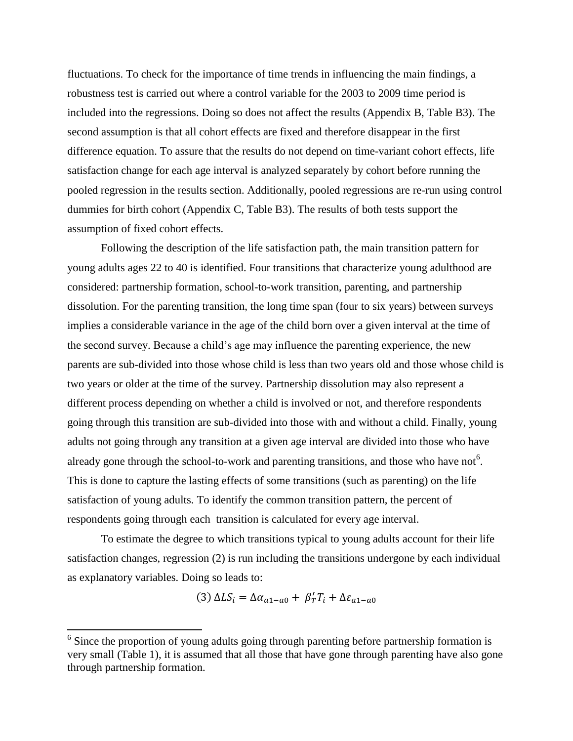fluctuations. To check for the importance of time trends in influencing the main findings, a robustness test is carried out where a control variable for the 2003 to 2009 time period is included into the regressions. Doing so does not affect the results (Appendix B, Table B3). The second assumption is that all cohort effects are fixed and therefore disappear in the first difference equation. To assure that the results do not depend on time-variant cohort effects, life satisfaction change for each age interval is analyzed separately by cohort before running the pooled regression in the results section. Additionally, pooled regressions are re-run using control dummies for birth cohort (Appendix C, Table B3). The results of both tests support the assumption of fixed cohort effects.

Following the description of the life satisfaction path, the main transition pattern for young adults ages 22 to 40 is identified. Four transitions that characterize young adulthood are considered: partnership formation, school-to-work transition, parenting, and partnership dissolution. For the parenting transition, the long time span (four to six years) between surveys implies a considerable variance in the age of the child born over a given interval at the time of the second survey. Because a child's age may influence the parenting experience, the new parents are sub-divided into those whose child is less than two years old and those whose child is two years or older at the time of the survey. Partnership dissolution may also represent a different process depending on whether a child is involved or not, and therefore respondents going through this transition are sub-divided into those with and without a child. Finally, young adults not going through any transition at a given age interval are divided into those who have already gone through the school-to-work and parenting transitions, and those who have not  $6$ . This is done to capture the lasting effects of some transitions (such as parenting) on the life satisfaction of young adults. To identify the common transition pattern, the percent of respondents going through each transition is calculated for every age interval.

To estimate the degree to which transitions typical to young adults account for their life satisfaction changes, regression (2) is run including the transitions undergone by each individual as explanatory variables. Doing so leads to:

$$
(3) \Delta LS_i = \Delta \alpha_{a1 - a0} + \beta'_T T_i + \Delta \varepsilon_{a1 - a0}
$$

 $\overline{\phantom{a}}$ 

 $6$  Since the proportion of young adults going through parenting before partnership formation is very small (Table 1), it is assumed that all those that have gone through parenting have also gone through partnership formation.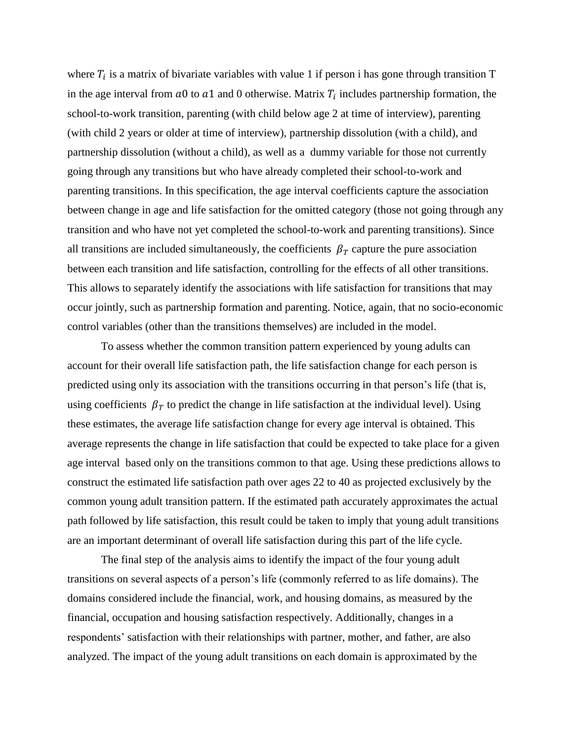where  $T_i$  is a matrix of bivariate variables with value 1 if person i has gone through transition T in the age interval from  $a0$  to  $a1$  and 0 otherwise. Matrix  $T_i$  includes partnership formation, the school-to-work transition, parenting (with child below age 2 at time of interview), parenting (with child 2 years or older at time of interview), partnership dissolution (with a child), and partnership dissolution (without a child), as well as a dummy variable for those not currently going through any transitions but who have already completed their school-to-work and parenting transitions. In this specification, the age interval coefficients capture the association between change in age and life satisfaction for the omitted category (those not going through any transition and who have not yet completed the school-to-work and parenting transitions). Since all transitions are included simultaneously, the coefficients  $\beta_T$  capture the pure association between each transition and life satisfaction, controlling for the effects of all other transitions. This allows to separately identify the associations with life satisfaction for transitions that may occur jointly, such as partnership formation and parenting. Notice, again, that no socio-economic control variables (other than the transitions themselves) are included in the model.

To assess whether the common transition pattern experienced by young adults can account for their overall life satisfaction path, the life satisfaction change for each person is predicted using only its association with the transitions occurring in that person's life (that is, using coefficients  $\beta_T$  to predict the change in life satisfaction at the individual level). Using these estimates, the average life satisfaction change for every age interval is obtained. This average represents the change in life satisfaction that could be expected to take place for a given age interval based only on the transitions common to that age. Using these predictions allows to construct the estimated life satisfaction path over ages 22 to 40 as projected exclusively by the common young adult transition pattern. If the estimated path accurately approximates the actual path followed by life satisfaction, this result could be taken to imply that young adult transitions are an important determinant of overall life satisfaction during this part of the life cycle.

The final step of the analysis aims to identify the impact of the four young adult transitions on several aspects of a person's life (commonly referred to as life domains). The domains considered include the financial, work, and housing domains, as measured by the financial, occupation and housing satisfaction respectively. Additionally, changes in a respondents' satisfaction with their relationships with partner, mother, and father, are also analyzed. The impact of the young adult transitions on each domain is approximated by the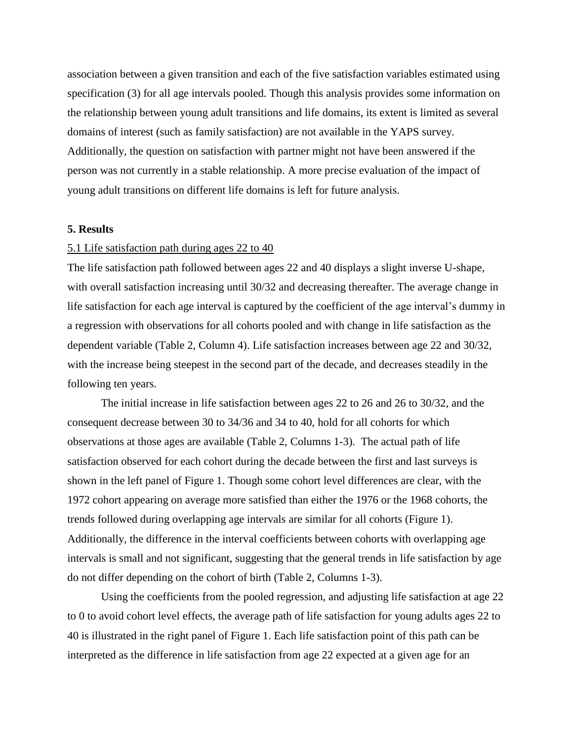association between a given transition and each of the five satisfaction variables estimated using specification (3) for all age intervals pooled. Though this analysis provides some information on the relationship between young adult transitions and life domains, its extent is limited as several domains of interest (such as family satisfaction) are not available in the YAPS survey. Additionally, the question on satisfaction with partner might not have been answered if the person was not currently in a stable relationship. A more precise evaluation of the impact of young adult transitions on different life domains is left for future analysis.

#### **5. Results**

#### 5.1 Life satisfaction path during ages 22 to 40

The life satisfaction path followed between ages 22 and 40 displays a slight inverse U-shape, with overall satisfaction increasing until 30/32 and decreasing thereafter. The average change in life satisfaction for each age interval is captured by the coefficient of the age interval's dummy in a regression with observations for all cohorts pooled and with change in life satisfaction as the dependent variable (Table 2, Column 4). Life satisfaction increases between age 22 and 30/32, with the increase being steepest in the second part of the decade, and decreases steadily in the following ten years.

The initial increase in life satisfaction between ages 22 to 26 and 26 to 30/32, and the consequent decrease between 30 to 34/36 and 34 to 40, hold for all cohorts for which observations at those ages are available (Table 2, Columns 1-3). The actual path of life satisfaction observed for each cohort during the decade between the first and last surveys is shown in the left panel of Figure 1. Though some cohort level differences are clear, with the 1972 cohort appearing on average more satisfied than either the 1976 or the 1968 cohorts, the trends followed during overlapping age intervals are similar for all cohorts (Figure 1). Additionally, the difference in the interval coefficients between cohorts with overlapping age intervals is small and not significant, suggesting that the general trends in life satisfaction by age do not differ depending on the cohort of birth (Table 2, Columns 1-3).

Using the coefficients from the pooled regression, and adjusting life satisfaction at age 22 to 0 to avoid cohort level effects, the average path of life satisfaction for young adults ages 22 to 40 is illustrated in the right panel of Figure 1. Each life satisfaction point of this path can be interpreted as the difference in life satisfaction from age 22 expected at a given age for an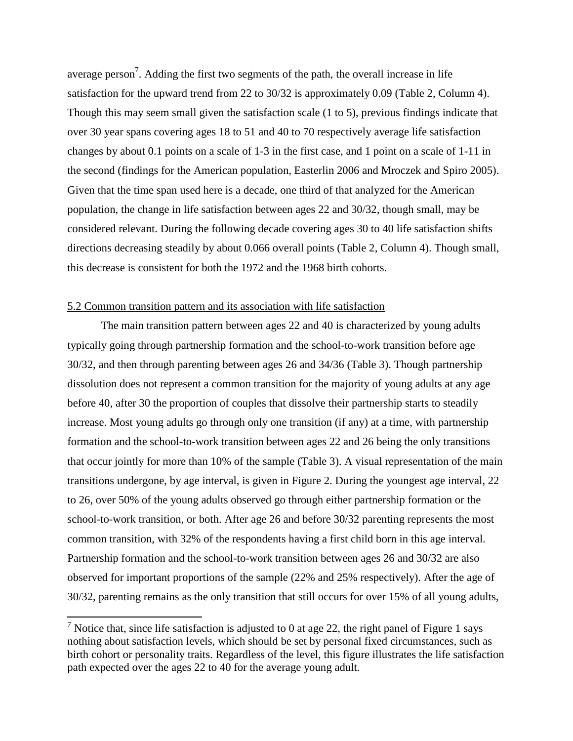average person<sup>7</sup>. Adding the first two segments of the path, the overall increase in life satisfaction for the upward trend from 22 to 30/32 is approximately 0.09 (Table 2, Column 4). Though this may seem small given the satisfaction scale (1 to 5), previous findings indicate that over 30 year spans covering ages 18 to 51 and 40 to 70 respectively average life satisfaction changes by about 0.1 points on a scale of 1-3 in the first case, and 1 point on a scale of 1-11 in the second (findings for the American population, Easterlin 2006 and Mroczek and Spiro 2005). Given that the time span used here is a decade, one third of that analyzed for the American population, the change in life satisfaction between ages 22 and 30/32, though small, may be considered relevant. During the following decade covering ages 30 to 40 life satisfaction shifts directions decreasing steadily by about 0.066 overall points (Table 2, Column 4). Though small, this decrease is consistent for both the 1972 and the 1968 birth cohorts.

#### 5.2 Common transition pattern and its association with life satisfaction

 $\overline{a}$ 

The main transition pattern between ages 22 and 40 is characterized by young adults typically going through partnership formation and the school-to-work transition before age 30/32, and then through parenting between ages 26 and 34/36 (Table 3). Though partnership dissolution does not represent a common transition for the majority of young adults at any age before 40, after 30 the proportion of couples that dissolve their partnership starts to steadily increase. Most young adults go through only one transition (if any) at a time, with partnership formation and the school-to-work transition between ages 22 and 26 being the only transitions that occur jointly for more than 10% of the sample (Table 3). A visual representation of the main transitions undergone, by age interval, is given in Figure 2. During the youngest age interval, 22 to 26, over 50% of the young adults observed go through either partnership formation or the school-to-work transition, or both. After age 26 and before 30/32 parenting represents the most common transition, with 32% of the respondents having a first child born in this age interval. Partnership formation and the school-to-work transition between ages 26 and 30/32 are also observed for important proportions of the sample (22% and 25% respectively). After the age of 30/32, parenting remains as the only transition that still occurs for over 15% of all young adults,

<sup>&</sup>lt;sup>7</sup> Notice that, since life satisfaction is adjusted to 0 at age 22, the right panel of Figure 1 says nothing about satisfaction levels, which should be set by personal fixed circumstances, such as birth cohort or personality traits. Regardless of the level, this figure illustrates the life satisfaction path expected over the ages 22 to 40 for the average young adult.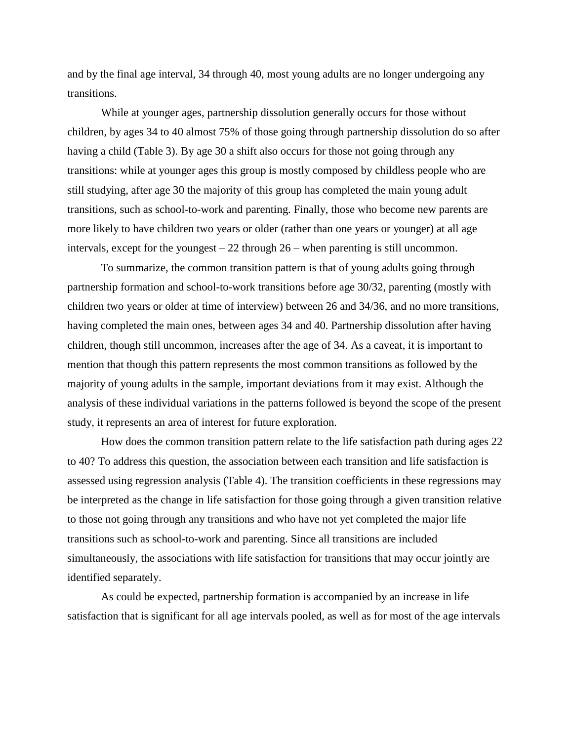and by the final age interval, 34 through 40, most young adults are no longer undergoing any transitions.

While at younger ages, partnership dissolution generally occurs for those without children, by ages 34 to 40 almost 75% of those going through partnership dissolution do so after having a child (Table 3). By age 30 a shift also occurs for those not going through any transitions: while at younger ages this group is mostly composed by childless people who are still studying, after age 30 the majority of this group has completed the main young adult transitions, such as school-to-work and parenting. Finally, those who become new parents are more likely to have children two years or older (rather than one years or younger) at all age intervals, except for the youngest – 22 through 26 – when parenting is still uncommon.

To summarize, the common transition pattern is that of young adults going through partnership formation and school-to-work transitions before age 30/32, parenting (mostly with children two years or older at time of interview) between 26 and 34/36, and no more transitions, having completed the main ones, between ages 34 and 40. Partnership dissolution after having children, though still uncommon, increases after the age of 34. As a caveat, it is important to mention that though this pattern represents the most common transitions as followed by the majority of young adults in the sample, important deviations from it may exist. Although the analysis of these individual variations in the patterns followed is beyond the scope of the present study, it represents an area of interest for future exploration.

How does the common transition pattern relate to the life satisfaction path during ages 22 to 40? To address this question, the association between each transition and life satisfaction is assessed using regression analysis (Table 4). The transition coefficients in these regressions may be interpreted as the change in life satisfaction for those going through a given transition relative to those not going through any transitions and who have not yet completed the major life transitions such as school-to-work and parenting. Since all transitions are included simultaneously, the associations with life satisfaction for transitions that may occur jointly are identified separately.

As could be expected, partnership formation is accompanied by an increase in life satisfaction that is significant for all age intervals pooled, as well as for most of the age intervals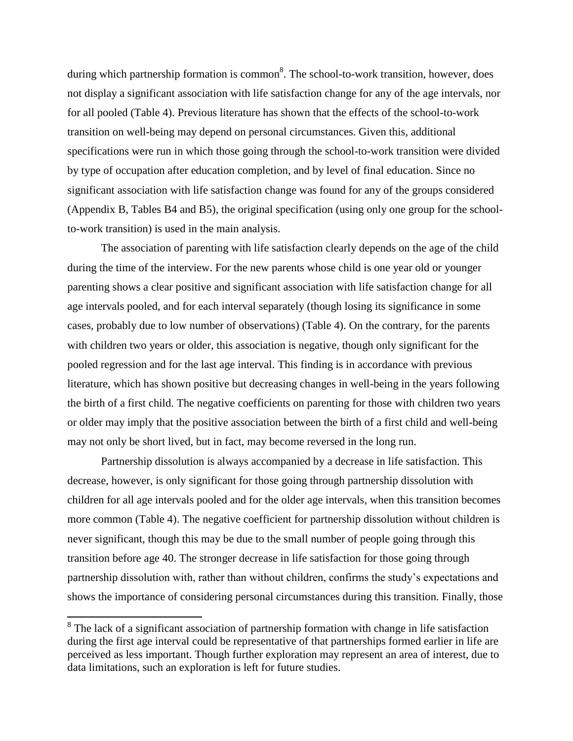during which partnership formation is common<sup>8</sup>. The school-to-work transition, however, does not display a significant association with life satisfaction change for any of the age intervals, nor for all pooled (Table 4). Previous literature has shown that the effects of the school-to-work transition on well-being may depend on personal circumstances. Given this, additional specifications were run in which those going through the school-to-work transition were divided by type of occupation after education completion, and by level of final education. Since no significant association with life satisfaction change was found for any of the groups considered (Appendix B, Tables B4 and B5), the original specification (using only one group for the schoolto-work transition) is used in the main analysis.

The association of parenting with life satisfaction clearly depends on the age of the child during the time of the interview. For the new parents whose child is one year old or younger parenting shows a clear positive and significant association with life satisfaction change for all age intervals pooled, and for each interval separately (though losing its significance in some cases, probably due to low number of observations) (Table 4). On the contrary, for the parents with children two years or older, this association is negative, though only significant for the pooled regression and for the last age interval. This finding is in accordance with previous literature, which has shown positive but decreasing changes in well-being in the years following the birth of a first child. The negative coefficients on parenting for those with children two years or older may imply that the positive association between the birth of a first child and well-being may not only be short lived, but in fact, may become reversed in the long run.

Partnership dissolution is always accompanied by a decrease in life satisfaction. This decrease, however, is only significant for those going through partnership dissolution with children for all age intervals pooled and for the older age intervals, when this transition becomes more common (Table 4). The negative coefficient for partnership dissolution without children is never significant, though this may be due to the small number of people going through this transition before age 40. The stronger decrease in life satisfaction for those going through partnership dissolution with, rather than without children, confirms the study's expectations and shows the importance of considering personal circumstances during this transition. Finally, those

 $\overline{a}$ 

<sup>&</sup>lt;sup>8</sup> The lack of a significant association of partnership formation with change in life satisfaction during the first age interval could be representative of that partnerships formed earlier in life are perceived as less important. Though further exploration may represent an area of interest, due to data limitations, such an exploration is left for future studies.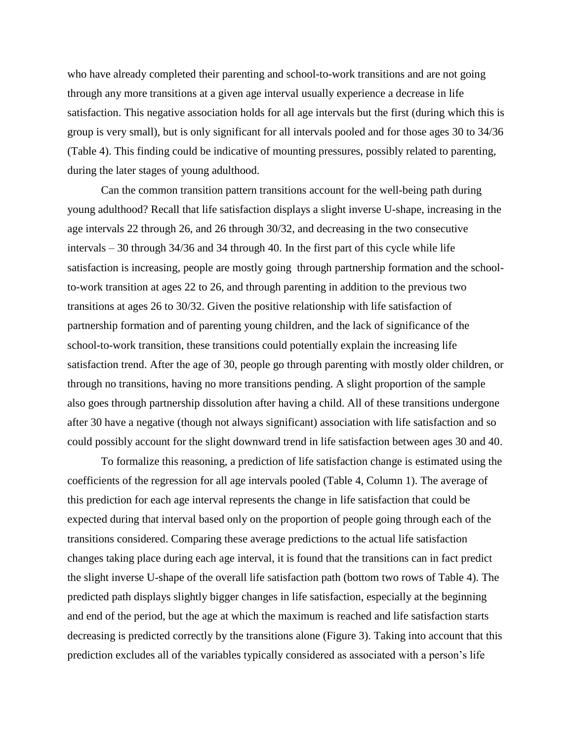who have already completed their parenting and school-to-work transitions and are not going through any more transitions at a given age interval usually experience a decrease in life satisfaction. This negative association holds for all age intervals but the first (during which this is group is very small), but is only significant for all intervals pooled and for those ages 30 to 34/36 (Table 4). This finding could be indicative of mounting pressures, possibly related to parenting, during the later stages of young adulthood.

Can the common transition pattern transitions account for the well-being path during young adulthood? Recall that life satisfaction displays a slight inverse U-shape, increasing in the age intervals 22 through 26, and 26 through 30/32, and decreasing in the two consecutive intervals – 30 through 34/36 and 34 through 40. In the first part of this cycle while life satisfaction is increasing, people are mostly going through partnership formation and the schoolto-work transition at ages 22 to 26, and through parenting in addition to the previous two transitions at ages 26 to 30/32. Given the positive relationship with life satisfaction of partnership formation and of parenting young children, and the lack of significance of the school-to-work transition, these transitions could potentially explain the increasing life satisfaction trend. After the age of 30, people go through parenting with mostly older children, or through no transitions, having no more transitions pending. A slight proportion of the sample also goes through partnership dissolution after having a child. All of these transitions undergone after 30 have a negative (though not always significant) association with life satisfaction and so could possibly account for the slight downward trend in life satisfaction between ages 30 and 40.

To formalize this reasoning, a prediction of life satisfaction change is estimated using the coefficients of the regression for all age intervals pooled (Table 4, Column 1). The average of this prediction for each age interval represents the change in life satisfaction that could be expected during that interval based only on the proportion of people going through each of the transitions considered. Comparing these average predictions to the actual life satisfaction changes taking place during each age interval, it is found that the transitions can in fact predict the slight inverse U-shape of the overall life satisfaction path (bottom two rows of Table 4). The predicted path displays slightly bigger changes in life satisfaction, especially at the beginning and end of the period, but the age at which the maximum is reached and life satisfaction starts decreasing is predicted correctly by the transitions alone (Figure 3). Taking into account that this prediction excludes all of the variables typically considered as associated with a person's life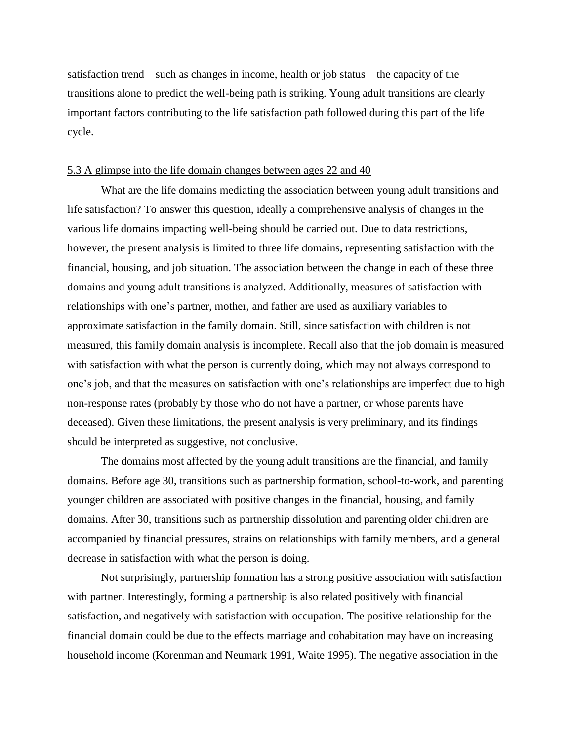satisfaction trend – such as changes in income, health or job status – the capacity of the transitions alone to predict the well-being path is striking. Young adult transitions are clearly important factors contributing to the life satisfaction path followed during this part of the life cycle.

#### 5.3 A glimpse into the life domain changes between ages 22 and 40

What are the life domains mediating the association between young adult transitions and life satisfaction? To answer this question, ideally a comprehensive analysis of changes in the various life domains impacting well-being should be carried out. Due to data restrictions, however, the present analysis is limited to three life domains, representing satisfaction with the financial, housing, and job situation. The association between the change in each of these three domains and young adult transitions is analyzed. Additionally, measures of satisfaction with relationships with one's partner, mother, and father are used as auxiliary variables to approximate satisfaction in the family domain. Still, since satisfaction with children is not measured, this family domain analysis is incomplete. Recall also that the job domain is measured with satisfaction with what the person is currently doing, which may not always correspond to one's job, and that the measures on satisfaction with one's relationships are imperfect due to high non-response rates (probably by those who do not have a partner, or whose parents have deceased). Given these limitations, the present analysis is very preliminary, and its findings should be interpreted as suggestive, not conclusive.

The domains most affected by the young adult transitions are the financial, and family domains. Before age 30, transitions such as partnership formation, school-to-work, and parenting younger children are associated with positive changes in the financial, housing, and family domains. After 30, transitions such as partnership dissolution and parenting older children are accompanied by financial pressures, strains on relationships with family members, and a general decrease in satisfaction with what the person is doing.

Not surprisingly, partnership formation has a strong positive association with satisfaction with partner. Interestingly, forming a partnership is also related positively with financial satisfaction, and negatively with satisfaction with occupation. The positive relationship for the financial domain could be due to the effects marriage and cohabitation may have on increasing household income (Korenman and Neumark 1991, Waite 1995). The negative association in the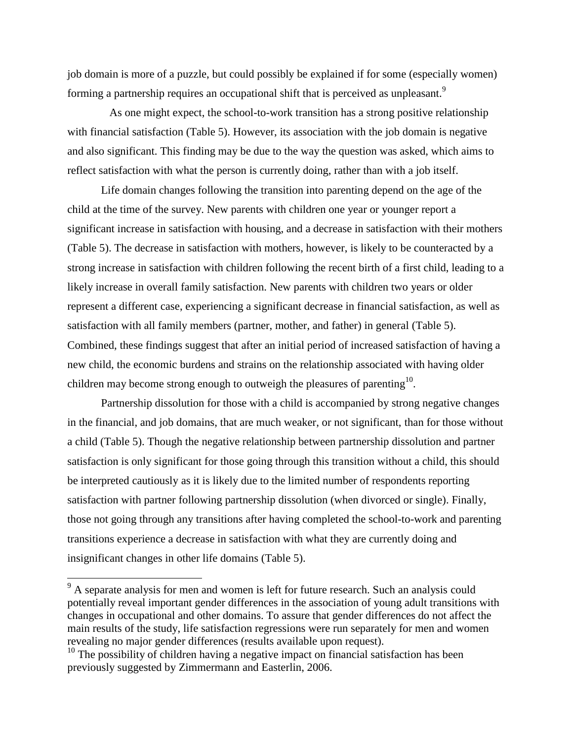job domain is more of a puzzle, but could possibly be explained if for some (especially women) forming a partnership requires an occupational shift that is perceived as unpleasant.<sup>9</sup>

 As one might expect, the school-to-work transition has a strong positive relationship with financial satisfaction (Table 5). However, its association with the job domain is negative and also significant. This finding may be due to the way the question was asked, which aims to reflect satisfaction with what the person is currently doing, rather than with a job itself.

Life domain changes following the transition into parenting depend on the age of the child at the time of the survey. New parents with children one year or younger report a significant increase in satisfaction with housing, and a decrease in satisfaction with their mothers (Table 5). The decrease in satisfaction with mothers, however, is likely to be counteracted by a strong increase in satisfaction with children following the recent birth of a first child, leading to a likely increase in overall family satisfaction. New parents with children two years or older represent a different case, experiencing a significant decrease in financial satisfaction, as well as satisfaction with all family members (partner, mother, and father) in general (Table 5). Combined, these findings suggest that after an initial period of increased satisfaction of having a new child, the economic burdens and strains on the relationship associated with having older children may become strong enough to outweigh the pleasures of parenting  $10$ .

Partnership dissolution for those with a child is accompanied by strong negative changes in the financial, and job domains, that are much weaker, or not significant, than for those without a child (Table 5). Though the negative relationship between partnership dissolution and partner satisfaction is only significant for those going through this transition without a child, this should be interpreted cautiously as it is likely due to the limited number of respondents reporting satisfaction with partner following partnership dissolution (when divorced or single). Finally, those not going through any transitions after having completed the school-to-work and parenting transitions experience a decrease in satisfaction with what they are currently doing and insignificant changes in other life domains (Table 5).

 $\overline{\phantom{a}}$ 

 $9<sup>9</sup>$  A separate analysis for men and women is left for future research. Such an analysis could potentially reveal important gender differences in the association of young adult transitions with changes in occupational and other domains. To assure that gender differences do not affect the main results of the study, life satisfaction regressions were run separately for men and women revealing no major gender differences (results available upon request).

 $10$  The possibility of children having a negative impact on financial satisfaction has been previously suggested by Zimmermann and Easterlin, 2006.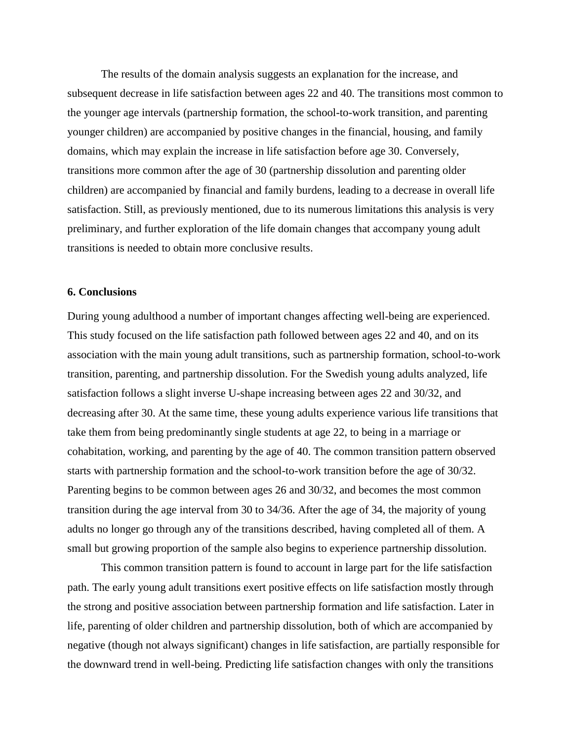The results of the domain analysis suggests an explanation for the increase, and subsequent decrease in life satisfaction between ages 22 and 40. The transitions most common to the younger age intervals (partnership formation, the school-to-work transition, and parenting younger children) are accompanied by positive changes in the financial, housing, and family domains, which may explain the increase in life satisfaction before age 30. Conversely, transitions more common after the age of 30 (partnership dissolution and parenting older children) are accompanied by financial and family burdens, leading to a decrease in overall life satisfaction. Still, as previously mentioned, due to its numerous limitations this analysis is very preliminary, and further exploration of the life domain changes that accompany young adult transitions is needed to obtain more conclusive results.

#### **6. Conclusions**

During young adulthood a number of important changes affecting well-being are experienced. This study focused on the life satisfaction path followed between ages 22 and 40, and on its association with the main young adult transitions, such as partnership formation, school-to-work transition, parenting, and partnership dissolution. For the Swedish young adults analyzed, life satisfaction follows a slight inverse U-shape increasing between ages 22 and 30/32, and decreasing after 30. At the same time, these young adults experience various life transitions that take them from being predominantly single students at age 22, to being in a marriage or cohabitation, working, and parenting by the age of 40. The common transition pattern observed starts with partnership formation and the school-to-work transition before the age of 30/32. Parenting begins to be common between ages 26 and 30/32, and becomes the most common transition during the age interval from 30 to 34/36. After the age of 34, the majority of young adults no longer go through any of the transitions described, having completed all of them. A small but growing proportion of the sample also begins to experience partnership dissolution.

This common transition pattern is found to account in large part for the life satisfaction path. The early young adult transitions exert positive effects on life satisfaction mostly through the strong and positive association between partnership formation and life satisfaction. Later in life, parenting of older children and partnership dissolution, both of which are accompanied by negative (though not always significant) changes in life satisfaction, are partially responsible for the downward trend in well-being. Predicting life satisfaction changes with only the transitions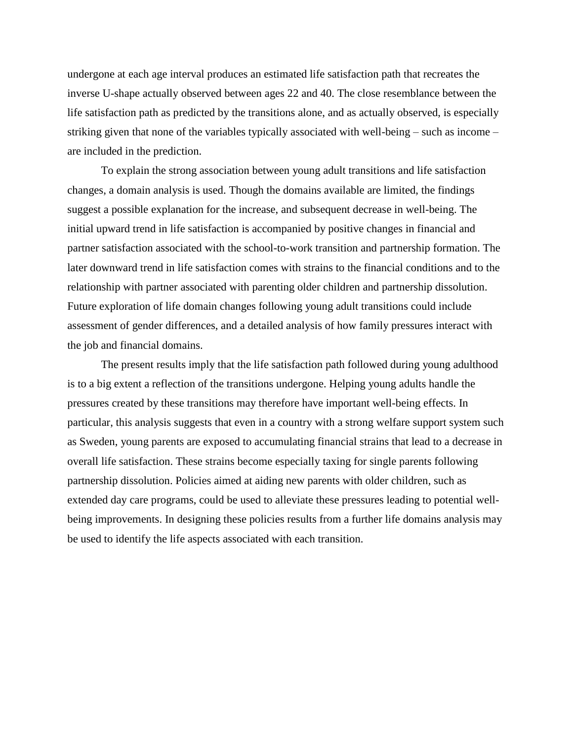undergone at each age interval produces an estimated life satisfaction path that recreates the inverse U-shape actually observed between ages 22 and 40. The close resemblance between the life satisfaction path as predicted by the transitions alone, and as actually observed, is especially striking given that none of the variables typically associated with well-being – such as income – are included in the prediction.

To explain the strong association between young adult transitions and life satisfaction changes, a domain analysis is used. Though the domains available are limited, the findings suggest a possible explanation for the increase, and subsequent decrease in well-being. The initial upward trend in life satisfaction is accompanied by positive changes in financial and partner satisfaction associated with the school-to-work transition and partnership formation. The later downward trend in life satisfaction comes with strains to the financial conditions and to the relationship with partner associated with parenting older children and partnership dissolution. Future exploration of life domain changes following young adult transitions could include assessment of gender differences, and a detailed analysis of how family pressures interact with the job and financial domains.

The present results imply that the life satisfaction path followed during young adulthood is to a big extent a reflection of the transitions undergone. Helping young adults handle the pressures created by these transitions may therefore have important well-being effects. In particular, this analysis suggests that even in a country with a strong welfare support system such as Sweden, young parents are exposed to accumulating financial strains that lead to a decrease in overall life satisfaction. These strains become especially taxing for single parents following partnership dissolution. Policies aimed at aiding new parents with older children, such as extended day care programs, could be used to alleviate these pressures leading to potential wellbeing improvements. In designing these policies results from a further life domains analysis may be used to identify the life aspects associated with each transition.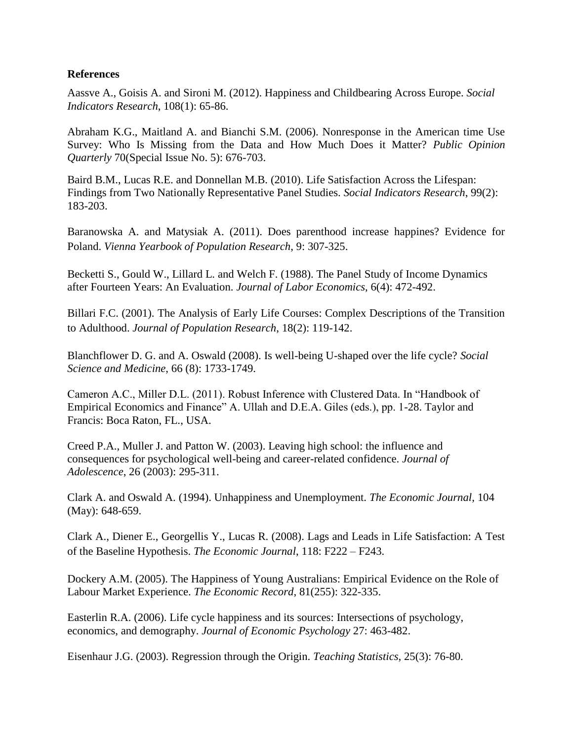#### **References**

Aassve A., Goisis A. and Sironi M. (2012). Happiness and Childbearing Across Europe. *Social Indicators Research*, 108(1): 65-86.

Abraham K.G., Maitland A. and Bianchi S.M. (2006). Nonresponse in the American time Use Survey: Who Is Missing from the Data and How Much Does it Matter? *Public Opinion Quarterly* 70(Special Issue No. 5): 676-703.

Baird B.M., Lucas R.E. and Donnellan M.B. (2010). Life Satisfaction Across the Lifespan: Findings from Two Nationally Representative Panel Studies. *Social Indicators Research*, 99(2): 183-203.

Baranowska A. and Matysiak A. (2011). Does parenthood increase happines? Evidence for Poland. *Vienna Yearbook of Population Research*, 9: 307-325.

Becketti S., Gould W., Lillard L. and Welch F. (1988). The Panel Study of Income Dynamics after Fourteen Years: An Evaluation. *Journal of Labor Economics*, 6(4): 472-492.

Billari F.C. (2001). The Analysis of Early Life Courses: Complex Descriptions of the Transition to Adulthood. *Journal of Population Research*, 18(2): 119-142.

Blanchflower D. G. and A. Oswald (2008). Is well-being U-shaped over the life cycle? *Social Science and Medicine*, 66 (8): 1733-1749.

Cameron A.C., Miller D.L. (2011). Robust Inference with Clustered Data. In "Handbook of Empirical Economics and Finance" A. Ullah and D.E.A. Giles (eds.), pp. 1-28. Taylor and Francis: Boca Raton, FL., USA.

Creed P.A., Muller J. and Patton W. (2003). Leaving high school: the influence and consequences for psychological well-being and career-related confidence. *Journal of Adolescence*, 26 (2003): 295-311.

Clark A. and Oswald A. (1994). Unhappiness and Unemployment. *The Economic Journal*, 104 (May): 648-659.

Clark A., Diener E., Georgellis Y., Lucas R. (2008). Lags and Leads in Life Satisfaction: A Test of the Baseline Hypothesis. *The Economic Journal*, 118: F222 – F243.

Dockery A.M. (2005). The Happiness of Young Australians: Empirical Evidence on the Role of Labour Market Experience. *The Economic Record*, 81(255): 322-335.

Easterlin R.A. (2006). Life cycle happiness and its sources: Intersections of psychology, economics, and demography. *Journal of Economic Psychology* 27: 463-482.

Eisenhaur J.G. (2003). Regression through the Origin. *Teaching Statistics,* 25(3): 76-80.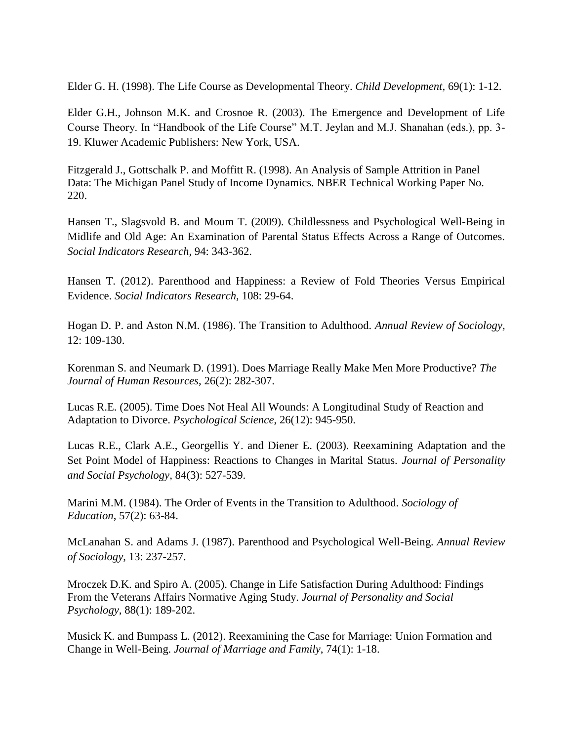Elder G. H. (1998). The Life Course as Developmental Theory. *Child Development*, 69(1): 1-12.

Elder G.H., Johnson M.K. and Crosnoe R. (2003). The Emergence and Development of Life Course Theory. In "Handbook of the Life Course" M.T. Jeylan and M.J. Shanahan (eds.), pp. 3- 19. Kluwer Academic Publishers: New York, USA.

Fitzgerald J., Gottschalk P. and Moffitt R. (1998). An Analysis of Sample Attrition in Panel Data: The Michigan Panel Study of Income Dynamics. NBER Technical Working Paper No. 220.

Hansen T., Slagsvold B. and Moum T. (2009). Childlessness and Psychological Well-Being in Midlife and Old Age: An Examination of Parental Status Effects Across a Range of Outcomes. *Social Indicators Research,* 94: 343-362.

Hansen T. (2012). Parenthood and Happiness: a Review of Fold Theories Versus Empirical Evidence. *Social Indicators Research,* 108: 29-64.

Hogan D. P. and Aston N.M. (1986). The Transition to Adulthood. *Annual Review of Sociology,* 12: 109-130.

Korenman S. and Neumark D. (1991). Does Marriage Really Make Men More Productive? *The Journal of Human Resources*, 26(2): 282-307.

Lucas R.E. (2005). Time Does Not Heal All Wounds: A Longitudinal Study of Reaction and Adaptation to Divorce. *Psychological Science*, 26(12): 945-950.

Lucas R.E., Clark A.E., Georgellis Y. and Diener E. (2003). Reexamining Adaptation and the Set Point Model of Happiness: Reactions to Changes in Marital Status. *Journal of Personality and Social Psychology,* 84(3): 527-539.

Marini M.M. (1984). The Order of Events in the Transition to Adulthood. *Sociology of Education*, 57(2): 63-84.

McLanahan S. and Adams J. (1987). Parenthood and Psychological Well-Being. *Annual Review of Sociology*, 13: 237-257.

Mroczek D.K. and Spiro A. (2005). Change in Life Satisfaction During Adulthood: Findings From the Veterans Affairs Normative Aging Study. *Journal of Personality and Social Psychology*, 88(1): 189-202.

Musick K. and Bumpass L. (2012). Reexamining the Case for Marriage: Union Formation and Change in Well-Being. *Journal of Marriage and Family*, 74(1): 1-18.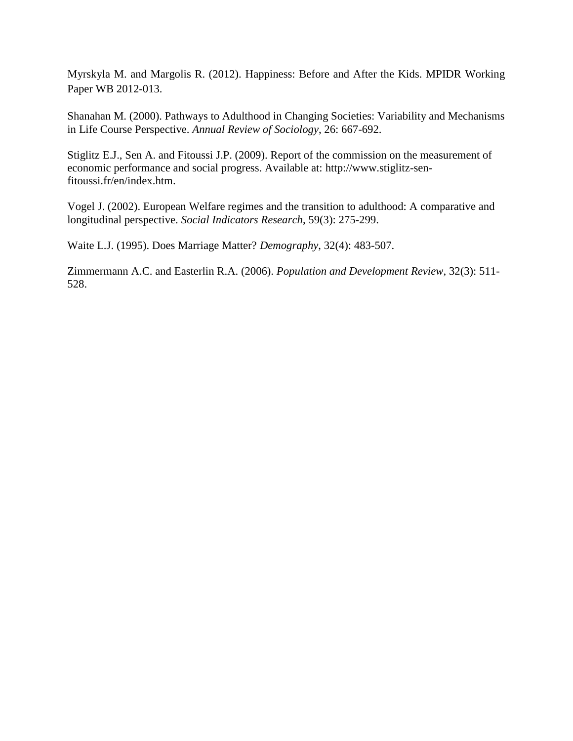Myrskyla M. and Margolis R. (2012). Happiness: Before and After the Kids. MPIDR Working Paper WB 2012-013.

Shanahan M. (2000). Pathways to Adulthood in Changing Societies: Variability and Mechanisms in Life Course Perspective. *Annual Review of Sociology*, 26: 667-692.

Stiglitz E.J., Sen A. and Fitoussi J.P. (2009). Report of the commission on the measurement of economic performance and social progress. Available at: http://www.stiglitz-senfitoussi.fr/en/index.htm.

Vogel J. (2002). European Welfare regimes and the transition to adulthood: A comparative and longitudinal perspective. *Social Indicators Research*, 59(3): 275-299.

Waite L.J. (1995). Does Marriage Matter? *Demography*, 32(4): 483-507.

Zimmermann A.C. and Easterlin R.A. (2006). *Population and Development Review*, 32(3): 511- 528.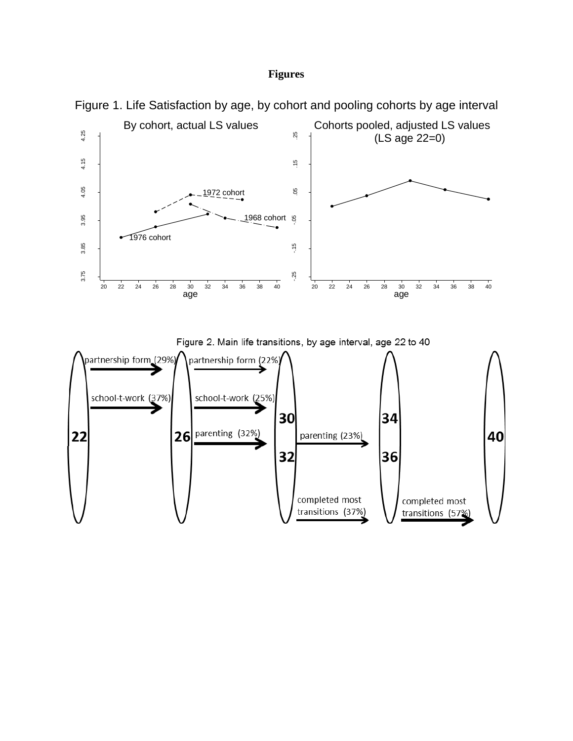#### **Figures**



Figure 1. Life Satisfaction by age, by cohort and pooling cohorts by age interval



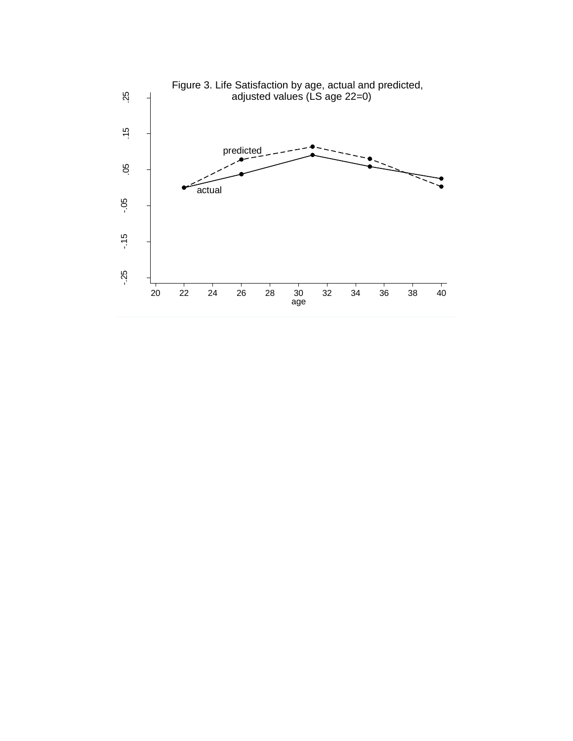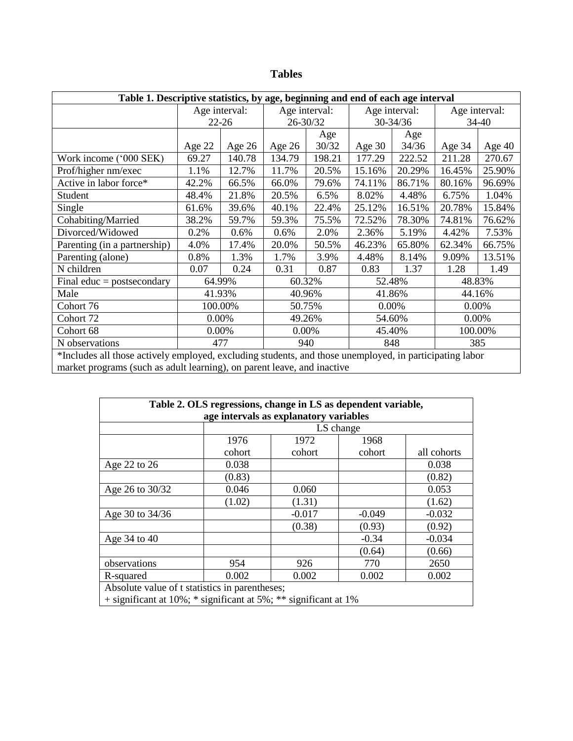| ונ<br>Ë<br>., |
|---------------|
|---------------|

| Table 1. Descriptive statistics, by age, beginning and end of each age interval                         |                          |           |               |          |               |              |               |          |
|---------------------------------------------------------------------------------------------------------|--------------------------|-----------|---------------|----------|---------------|--------------|---------------|----------|
|                                                                                                         | Age interval:            |           | Age interval: |          | Age interval: |              | Age interval: |          |
|                                                                                                         |                          | $22 - 26$ |               | 26-30/32 |               | $30 - 34/36$ | 34-40         |          |
|                                                                                                         |                          |           |               | Age      |               | Age          |               |          |
|                                                                                                         | Age 22                   | Age $26$  | Age $26$      | 30/32    | Age $30$      | 34/36        | Age 34        | Age $40$ |
| Work income ('000 SEK)                                                                                  | 69.27                    | 140.78    | 134.79        | 198.21   | 177.29        | 222.52       | 211.28        | 270.67   |
| Prof/higher nm/exec                                                                                     | 1.1%                     | 12.7%     | 11.7%         | 20.5%    | 15.16%        | 20.29%       | 16.45%        | 25.90%   |
| Active in labor force*                                                                                  | 42.2%                    | 66.5%     | 66.0%         | 79.6%    | 74.11%        | 86.71%       | 80.16%        | 96.69%   |
| Student                                                                                                 | 48.4%                    | 21.8%     | 20.5%         | 6.5%     | 8.02%         | 4.48%        | 6.75%         | 1.04%    |
| Single                                                                                                  | 61.6%                    | 39.6%     | 40.1%         | 22.4%    | 25.12%        | 16.51%       | 20.78%        | 15.84%   |
| Cohabiting/Married                                                                                      | 38.2%                    | 59.7%     | 59.3%         | 75.5%    | 72.52%        | 78.30%       | 74.81%        | 76.62%   |
| Divorced/Widowed                                                                                        | 0.2%                     | 0.6%      | 0.6%          | 2.0%     | 2.36%         | 5.19%        | 4.42%         | 7.53%    |
| Parenting (in a partnership)                                                                            | 4.0%                     | 17.4%     | 20.0%         | 50.5%    | 46.23%        | 65.80%       | 62.34%        | 66.75%   |
| Parenting (alone)                                                                                       | 0.8%                     | 1.3%      | 1.7%          | 3.9%     | 4.48%         | 8.14%        | 9.09%         | 13.51%   |
| N children                                                                                              | 0.07                     | 0.24      | 0.31          | 0.87     | 0.83          | 1.37         | 1.28          | 1.49     |
| Final educ = postsecondary                                                                              | 64.99%                   |           | 60.32%        |          | 52.48%        |              | 48.83%        |          |
| Male                                                                                                    | 41.93%                   |           | 40.96%        |          | 41.86%        |              |               | 44.16%   |
| Cohort 76                                                                                               |                          | 100.00%   |               | 50.75%   |               | 0.00%        | 0.00%         |          |
| Cohort 72                                                                                               | 0.00%                    |           | 49.26%        |          |               | 54.60%       |               | 0.00%    |
| Cohort 68                                                                                               | 0.00%                    |           | 0.00%         |          | 45.40%        |              |               | 100.00%  |
| N observations                                                                                          | 477<br>940<br>848<br>385 |           |               |          |               |              |               |          |
| *Includes all those actively employed, excluding students, and those unemployed, in participating labor |                          |           |               |          |               |              |               |          |
| market programs (such as adult learning), on parent leave, and inactive                                 |                          |           |               |          |               |              |               |          |

| Table 2. OLS regressions, change in LS as dependent variable,         |        |          |           |             |  |  |  |  |  |  |
|-----------------------------------------------------------------------|--------|----------|-----------|-------------|--|--|--|--|--|--|
| age intervals as explanatory variables                                |        |          |           |             |  |  |  |  |  |  |
|                                                                       |        |          | LS change |             |  |  |  |  |  |  |
|                                                                       | 1976   | 1972     | 1968      |             |  |  |  |  |  |  |
|                                                                       | cohort | cohort   | cohort    | all cohorts |  |  |  |  |  |  |
| Age 22 to 26                                                          | 0.038  |          |           | 0.038       |  |  |  |  |  |  |
|                                                                       | (0.83) |          |           | (0.82)      |  |  |  |  |  |  |
| Age 26 to 30/32                                                       | 0.046  | 0.060    |           | 0.053       |  |  |  |  |  |  |
|                                                                       | (1.02) | (1.31)   |           | (1.62)      |  |  |  |  |  |  |
| Age 30 to 34/36                                                       |        | $-0.017$ | $-0.049$  | $-0.032$    |  |  |  |  |  |  |
|                                                                       |        | (0.38)   | (0.93)    | (0.92)      |  |  |  |  |  |  |
| Age 34 to 40                                                          |        |          | $-0.34$   | $-0.034$    |  |  |  |  |  |  |
|                                                                       |        |          | (0.64)    | (0.66)      |  |  |  |  |  |  |
| observations                                                          | 954    | 926      | 770       | 2650        |  |  |  |  |  |  |
| R-squared                                                             | 0.002  | 0.002    | 0.002     | 0.002       |  |  |  |  |  |  |
| Absolute value of t statistics in parentheses;                        |        |          |           |             |  |  |  |  |  |  |
| $+$ significant at 10%; $*$ significant at 5%; $**$ significant at 1% |        |          |           |             |  |  |  |  |  |  |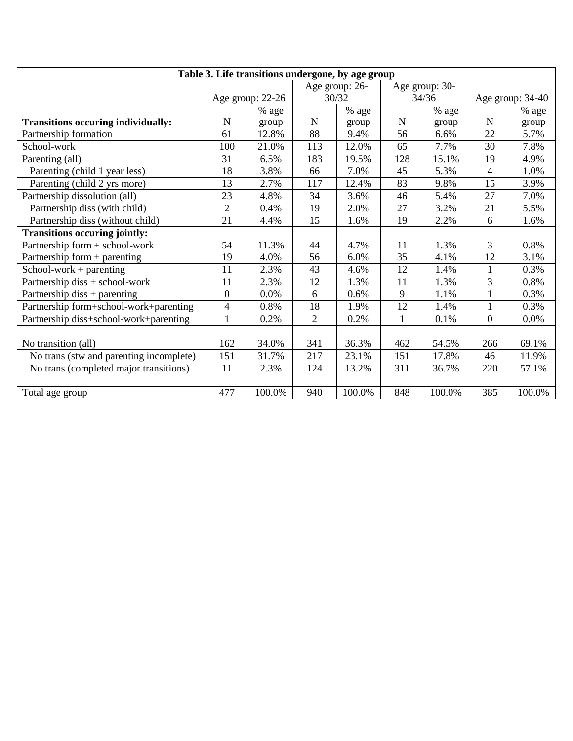| Table 3. Life transitions undergone, by age group |                |                  |                |                |              |                |                  |        |
|---------------------------------------------------|----------------|------------------|----------------|----------------|--------------|----------------|------------------|--------|
|                                                   |                |                  |                | Age group: 26- |              | Age group: 30- |                  |        |
|                                                   |                | Age group: 22-26 |                | 30/32          |              | 34/36          | Age group: 34-40 |        |
|                                                   |                | % age            |                | % age          |              | $\%$ age       |                  | % age  |
| <b>Transitions occuring individually:</b>         | $\mathbf N$    | group            | $\mathbf N$    | group          | N            | group          | $\mathbf N$      | group  |
| Partnership formation                             | 61             | 12.8%            | 88             | 9.4%           | 56           | 6.6%           | 22               | 5.7%   |
| School-work                                       | 100            | 21.0%            | 113            | 12.0%          | 65           | 7.7%           | 30               | 7.8%   |
| Parenting (all)                                   | 31             | 6.5%             | 183            | 19.5%          | 128          | 15.1%          | 19               | 4.9%   |
| Parenting (child 1 year less)                     | 18             | 3.8%             | 66             | 7.0%           | 45           | 5.3%           | $\overline{4}$   | 1.0%   |
| Parenting (child 2 yrs more)                      | 13             | 2.7%             | 117            | 12.4%          | 83           | 9.8%           | 15               | 3.9%   |
| Partnership dissolution (all)                     | 23             | 4.8%             | 34             | 3.6%           | 46           | 5.4%           | 27               | 7.0%   |
| Partnership diss (with child)                     | $\overline{2}$ | 0.4%             | 19             | 2.0%           | 27           | 3.2%           | 21               | 5.5%   |
| Partnership diss (without child)                  | 21             | 4.4%             | 15             | 1.6%           | 19           | 2.2%           | 6                | 1.6%   |
| <b>Transitions occuring jointly:</b>              |                |                  |                |                |              |                |                  |        |
| Partnership form + school-work                    | 54             | 11.3%            | 44             | 4.7%           | 11           | 1.3%           | 3                | 0.8%   |
| Partnership form $+$ parenting                    | 19             | 4.0%             | 56             | 6.0%           | 35           | 4.1%           | 12               | 3.1%   |
| $School-word + \text{parenting}$                  | 11             | 2.3%             | 43             | 4.6%           | 12           | 1.4%           | 1                | 0.3%   |
| Partnership diss + school-work                    | 11             | 2.3%             | 12             | 1.3%           | 11           | 1.3%           | 3                | 0.8%   |
| Partnership diss + parenting                      | $\overline{0}$ | 0.0%             | 6              | 0.6%           | 9            | 1.1%           | 1                | 0.3%   |
| Partnership form+school-work+parenting            | $\overline{4}$ | 0.8%             | 18             | 1.9%           | 12           | 1.4%           | $\mathbf{1}$     | 0.3%   |
| Partnership diss+school-work+parenting            | 1              | 0.2%             | $\overline{2}$ | 0.2%           | $\mathbf{1}$ | 0.1%           | $\overline{0}$   | 0.0%   |
|                                                   |                |                  |                |                |              |                |                  |        |
| No transition (all)                               | 162            | 34.0%            | 341            | 36.3%          | 462          | 54.5%          | 266              | 69.1%  |
| No trans (stw and parenting incomplete)           | 151            | 31.7%            | 217            | 23.1%          | 151          | 17.8%          | 46               | 11.9%  |
| No trans (completed major transitions)            | 11             | 2.3%             | 124            | 13.2%          | 311          | 36.7%          | 220              | 57.1%  |
|                                                   |                |                  |                |                |              |                |                  |        |
| Total age group                                   | 477            | 100.0%           | 940            | 100.0%         | 848          | 100.0%         | 385              | 100.0% |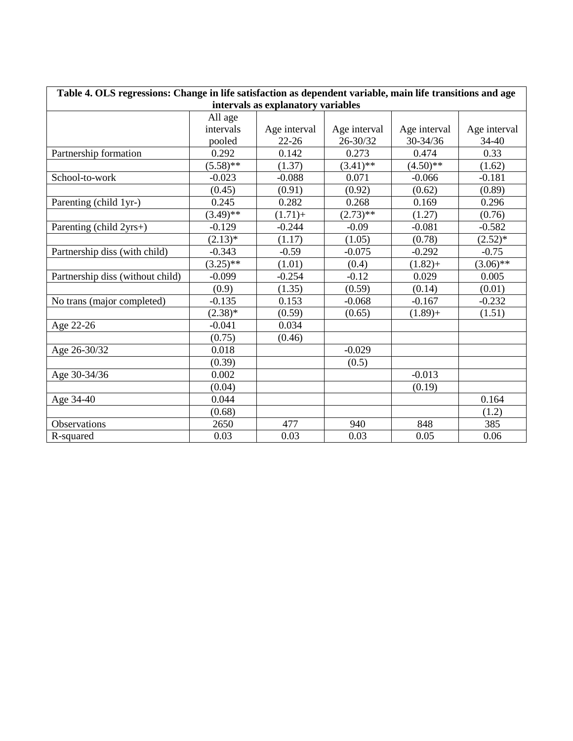| Table 4. OLS regressions: Change in life satisfaction as dependent variable, main life transitions and age |             |              |              |              |              |  |  |  |  |
|------------------------------------------------------------------------------------------------------------|-------------|--------------|--------------|--------------|--------------|--|--|--|--|
| intervals as explanatory variables                                                                         |             |              |              |              |              |  |  |  |  |
|                                                                                                            | All age     |              |              |              |              |  |  |  |  |
|                                                                                                            | intervals   | Age interval | Age interval | Age interval | Age interval |  |  |  |  |
|                                                                                                            | pooled      | $22 - 26$    | 26-30/32     | 30-34/36     | 34-40        |  |  |  |  |
| Partnership formation                                                                                      | 0.292       | 0.142        | 0.273        | 0.474        | 0.33         |  |  |  |  |
|                                                                                                            | $(5.58)$ ** | (1.37)       | $(3.41)$ **  | $(4.50)$ **  | (1.62)       |  |  |  |  |
| School-to-work                                                                                             | $-0.023$    | $-0.088$     | 0.071        | $-0.066$     | $-0.181$     |  |  |  |  |
|                                                                                                            | (0.45)      | (0.91)       | (0.92)       | (0.62)       | (0.89)       |  |  |  |  |
| Parenting (child 1yr-)                                                                                     | 0.245       | 0.282        | 0.268        | 0.169        | 0.296        |  |  |  |  |
|                                                                                                            | $(3.49)$ ** | $(1.71) +$   | $(2.73)$ **  | (1.27)       | (0.76)       |  |  |  |  |
| Parenting (child 2yrs+)                                                                                    | $-0.129$    | $-0.244$     | $-0.09$      | $-0.081$     | $-0.582$     |  |  |  |  |
|                                                                                                            | $(2.13)*$   | (1.17)       | (1.05)       | (0.78)       | $(2.52)*$    |  |  |  |  |
| Partnership diss (with child)                                                                              | $-0.343$    | $-0.59$      | $-0.075$     | $-0.292$     | $-0.75$      |  |  |  |  |
|                                                                                                            | $(3.25)$ ** | (1.01)       | (0.4)        | $(1.82) +$   | $(3.06)**$   |  |  |  |  |
| Partnership diss (without child)                                                                           | $-0.099$    | $-0.254$     | $-0.12$      | 0.029        | 0.005        |  |  |  |  |
|                                                                                                            | (0.9)       | (1.35)       | (0.59)       | (0.14)       | (0.01)       |  |  |  |  |
| No trans (major completed)                                                                                 | $-0.135$    | 0.153        | $-0.068$     | $-0.167$     | $-0.232$     |  |  |  |  |
|                                                                                                            | $(2.38)^*$  | (0.59)       | (0.65)       | $(1.89) +$   | (1.51)       |  |  |  |  |
| Age 22-26                                                                                                  | $-0.041$    | 0.034        |              |              |              |  |  |  |  |
|                                                                                                            | (0.75)      | (0.46)       |              |              |              |  |  |  |  |
| Age 26-30/32                                                                                               | 0.018       |              | $-0.029$     |              |              |  |  |  |  |
|                                                                                                            | (0.39)      |              | (0.5)        |              |              |  |  |  |  |
| Age 30-34/36                                                                                               | 0.002       |              |              | $-0.013$     |              |  |  |  |  |
|                                                                                                            | (0.04)      |              |              | (0.19)       |              |  |  |  |  |
| Age 34-40                                                                                                  | 0.044       |              |              |              | 0.164        |  |  |  |  |
|                                                                                                            | (0.68)      |              |              |              | (1.2)        |  |  |  |  |
| Observations                                                                                               | 2650        | 477          | 940          | 848          | 385          |  |  |  |  |
| R-squared                                                                                                  | 0.03        | 0.03         | 0.03         | 0.05         | 0.06         |  |  |  |  |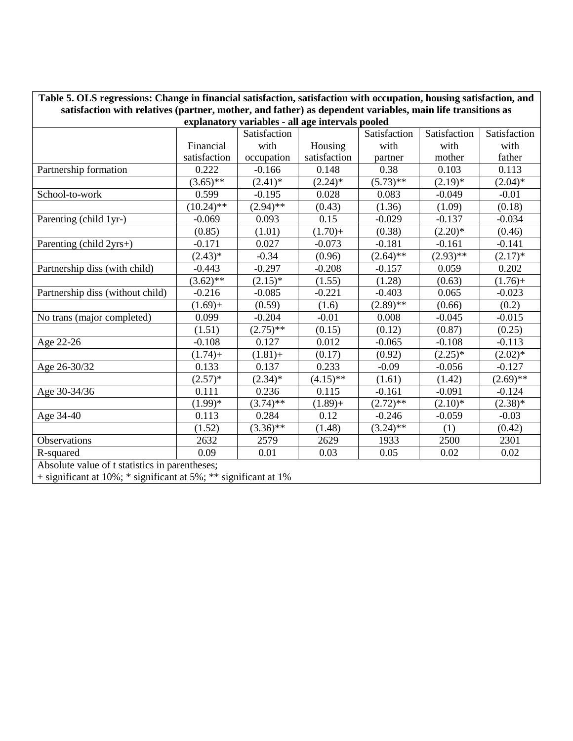| Table 5. OLS regressions: Change in financial satisfaction, satisfaction with occupation, housing satisfaction, and                                            |              |                                              |              |             |             |             |  |  |  |
|----------------------------------------------------------------------------------------------------------------------------------------------------------------|--------------|----------------------------------------------|--------------|-------------|-------------|-------------|--|--|--|
| satisfaction with relatives (partner, mother, and father) as dependent variables, main life transitions as<br>explanatory variables - all age intervals pooled |              |                                              |              |             |             |             |  |  |  |
|                                                                                                                                                                |              | Satisfaction<br>Satisfaction<br>Satisfaction |              |             |             |             |  |  |  |
|                                                                                                                                                                | Financial    | with                                         | Housing      | with        | with        | with        |  |  |  |
|                                                                                                                                                                | satisfaction | occupation                                   | satisfaction | partner     | mother      | father      |  |  |  |
| Partnership formation                                                                                                                                          | 0.222        | $-0.166$                                     | 0.148        | 0.38        | 0.103       | 0.113       |  |  |  |
|                                                                                                                                                                | $(3.65)$ **  | $(2.41)^*$                                   | $(2.24)$ *   | $(5.73)$ ** | $(2.19)*$   | $(2.04)^*$  |  |  |  |
| School-to-work                                                                                                                                                 | 0.599        | $-0.195$                                     | 0.028        | 0.083       | $-0.049$    | $-0.01$     |  |  |  |
|                                                                                                                                                                | $(10.24)$ ** | $(2.94)$ **                                  | (0.43)       | (1.36)      | (1.09)      | (0.18)      |  |  |  |
| Parenting (child 1yr-)                                                                                                                                         | $-0.069$     | 0.093                                        | 0.15         | $-0.029$    | $-0.137$    | $-0.034$    |  |  |  |
|                                                                                                                                                                | (0.85)       | (1.01)                                       | $(1.70) +$   | (0.38)      | $(2.20)*$   | (0.46)      |  |  |  |
| Parenting (child 2yrs+)                                                                                                                                        | $-0.171$     | 0.027                                        | $-0.073$     | $-0.181$    | $-0.161$    | $-0.141$    |  |  |  |
|                                                                                                                                                                | $(2.43)*$    | $-0.34$                                      | (0.96)       | $(2.64)$ ** | $(2.93)$ ** | $(2.17)^*$  |  |  |  |
| Partnership diss (with child)                                                                                                                                  | $-0.443$     | $-0.297$                                     | $-0.208$     | $-0.157$    | 0.059       | 0.202       |  |  |  |
|                                                                                                                                                                | $(3.62)$ **  | $(2.15)^*$                                   | (1.55)       | (1.28)      | (0.63)      | $(1.76) +$  |  |  |  |
| Partnership diss (without child)                                                                                                                               | $-0.216$     | $-0.085$                                     | $-0.221$     | $-0.403$    | 0.065       | $-0.023$    |  |  |  |
|                                                                                                                                                                | $(1.69) +$   | (0.59)                                       | (1.6)        | $(2.89)$ ** | (0.66)      | (0.2)       |  |  |  |
| No trans (major completed)                                                                                                                                     | 0.099        | $-0.204$                                     | $-0.01$      | 0.008       | $-0.045$    | $-0.015$    |  |  |  |
|                                                                                                                                                                | (1.51)       | $(2.75)$ **                                  | (0.15)       | (0.12)      | (0.87)      | (0.25)      |  |  |  |
| Age 22-26                                                                                                                                                      | $-0.108$     | 0.127                                        | 0.012        | $-0.065$    | $-0.108$    | $-0.113$    |  |  |  |
|                                                                                                                                                                | $(1.74) +$   | $(1.81) +$                                   | (0.17)       | (0.92)      | $(2.25)^*$  | $(2.02)^*$  |  |  |  |
| Age 26-30/32                                                                                                                                                   | 0.133        | 0.137                                        | 0.233        | $-0.09$     | $-0.056$    | $-0.127$    |  |  |  |
|                                                                                                                                                                | $(2.57)^*$   | $(2.34)^*$                                   | $(4.15)$ **  | (1.61)      | (1.42)      | $(2.69)$ ** |  |  |  |
| Age 30-34/36                                                                                                                                                   | 0.111        | 0.236                                        | 0.115        | $-0.161$    | $-0.091$    | $-0.124$    |  |  |  |
|                                                                                                                                                                | $(1.99)*$    | $(3.74)$ **                                  | $(1.89) +$   | $(2.72)$ ** | $(2.10)*$   | $(2.38)*$   |  |  |  |
| Age 34-40                                                                                                                                                      | 0.113        | 0.284                                        | 0.12         | $-0.246$    | $-0.059$    | $-0.03$     |  |  |  |
|                                                                                                                                                                | (1.52)       | $(3.36)$ **                                  | (1.48)       | $(3.24)$ ** | (1)         | (0.42)      |  |  |  |
| Observations                                                                                                                                                   | 2632         | 2579                                         | 2629         | 1933        | 2500        | 2301        |  |  |  |
| R-squared<br>A decoration is considered in $\mathcal{L}$ and a substitution of the                                                                             | 0.09<br>41.  | 0.01                                         | 0.03         | 0.05        | 0.02        | 0.02        |  |  |  |

Absolute value of t statistics in parentheses;

+ significant at 10%; \* significant at 5%; \*\* significant at 1%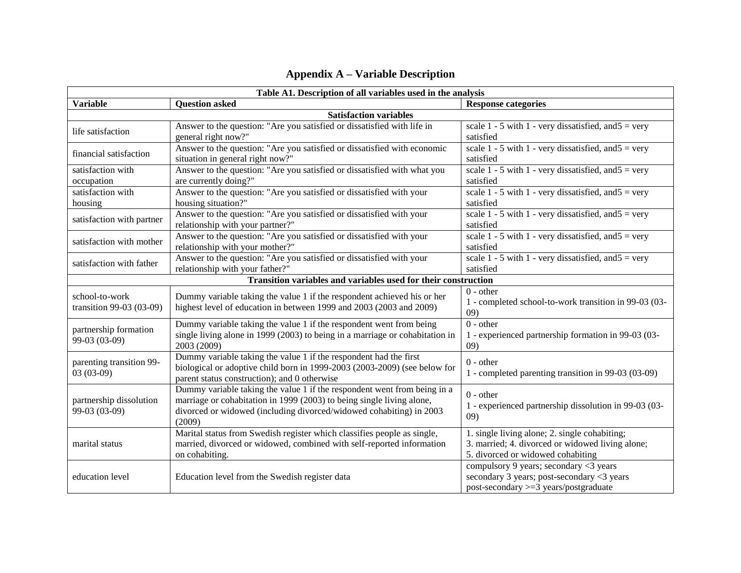#### **Table A1. Description of all variables used in the analysis Variable Response categories Question asked Response categories Response categories Satisfaction variables** life satisfaction Answer to the question: "Are you satisfied or dissatisfied with life in general right now?" scale  $\overline{1}$  - 5 with 1 - very dissatisfied, and  $\overline{5}$  = very satisfied financial satisfaction Answer to the question: "Are you satisfied or dissatisfied with economic situation in general right now?" scale 1 - 5 with 1 - very dissatisfied, and  $5 = \text{very}$ satisfied satisfaction with occupation Answer to the question: "Are you satisfied or dissatisfied with what you are currently doing?" scale 1 - 5 with 1 - very dissatisfied, and  $5 = \text{very}$ satisfied satisfaction with housing Answer to the question: "Are you satisfied or dissatisfied with your housing situation?" scale 1 - 5 with 1 - very dissatisfied, and  $5 = \text{very}$ satisfied satisfaction with partner  $\begin{bmatrix} \end{bmatrix}$  Answer to the question: "Are you satisfied or dissatisfied with your relationship with your partner?" scale 1 - 5 with 1 - very dissatisfied, and  $5 = \text{very}$ satisfied satisfaction with mother  $\overline{\phantom{a}}$  Answer to the question: "Are you satisfied or dissatisfied with your relationship with your mother?" scale 1 - 5 with 1 - very dissatisfied, and  $5 = \text{very}$ satisfied satisfaction with father Answer to the question: "Are you satisfied or dissatisfied with your relationship with your father?" scale 1 - 5 with 1 - very dissatisfied, and  $5 = \text{very}$ satisfied **Transition variables and variables used for their construction** school-to-work transition 99-03 (03-09) Dummy variable taking the value 1 if the respondent achieved his or her highest level of education in between 1999 and 2003 (2003 and 2009) 0 - other 1 - completed school-to-work transition in 99-03 (03- 09) partnership formation 99-03 (03-09) Dummy variable taking the value 1 if the respondent went from being single living alone in 1999 (2003) to being in a marriage or cohabitation in 2003 (2009)  $\overline{0}$  - other 1 - experienced partnership formation in 99-03 (03- 09) parenting transition 99- 03 (03-09) Dummy variable taking the value 1 if the respondent had the first biological or adoptive child born in 1999-2003 (2003-2009) (see below for parent status construction); and 0 otherwise 0 - other 1 - completed parenting transition in 99-03 (03-09) partnership dissolution 99-03 (03-09) Dummy variable taking the value 1 if the respondent went from being in a marriage or cohabitation in 1999 (2003) to being single living alone, divorced or widowed (including divorced/widowed cohabiting) in 2003 (2009) 0 - other 1 - experienced partnership dissolution in 99-03 (03- 09) marital status Marital status from Swedish register which classifies people as single, married, divorced or widowed, combined with self-reported information on cohabiting. 1. single living alone; 2. single cohabiting; 3. married; 4. divorced or widowed living alone; 5. divorced or widowed cohabiting education level Education level from the Swedish register data compulsory 9 years; secondary <3 years secondary 3 years; post-secondary <3 years post-secondary >=3 years/postgraduate

#### **Appendix A – Variable Description**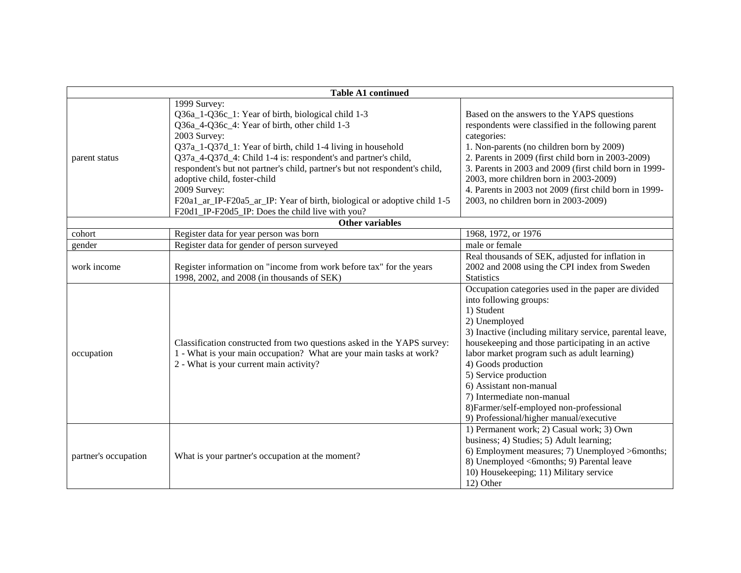| <b>Table A1 continued</b> |                                                                                                                                                                                                                                                                                                                                                                                                                                                                                                                                     |                                                                                                                                                                                                                                                                                                                                                                                                                                                                               |  |  |  |  |  |  |
|---------------------------|-------------------------------------------------------------------------------------------------------------------------------------------------------------------------------------------------------------------------------------------------------------------------------------------------------------------------------------------------------------------------------------------------------------------------------------------------------------------------------------------------------------------------------------|-------------------------------------------------------------------------------------------------------------------------------------------------------------------------------------------------------------------------------------------------------------------------------------------------------------------------------------------------------------------------------------------------------------------------------------------------------------------------------|--|--|--|--|--|--|
| parent status             | 1999 Survey:<br>Q36a_1-Q36c_1: Year of birth, biological child 1-3<br>Q36a_4-Q36c_4: Year of birth, other child 1-3<br>2003 Survey:<br>Q37a_1-Q37d_1: Year of birth, child 1-4 living in household<br>Q37a_4-Q37d_4: Child 1-4 is: respondent's and partner's child,<br>respondent's but not partner's child, partner's but not respondent's child,<br>adoptive child, foster-child<br>2009 Survey:<br>F20a1_ar_IP-F20a5_ar_IP: Year of birth, biological or adoptive child 1-5<br>F20d1_IP-F20d5_IP: Does the child live with you? | Based on the answers to the YAPS questions<br>respondents were classified in the following parent<br>categories:<br>1. Non-parents (no children born by 2009)<br>2. Parents in 2009 (first child born in 2003-2009)<br>3. Parents in 2003 and 2009 (first child born in 1999-<br>2003, more children born in 2003-2009)<br>4. Parents in 2003 not 2009 (first child born in 1999-<br>2003, no children born in 2003-2009)                                                     |  |  |  |  |  |  |
|                           | <b>Other variables</b>                                                                                                                                                                                                                                                                                                                                                                                                                                                                                                              |                                                                                                                                                                                                                                                                                                                                                                                                                                                                               |  |  |  |  |  |  |
| cohort                    | Register data for year person was born                                                                                                                                                                                                                                                                                                                                                                                                                                                                                              | 1968, 1972, or 1976                                                                                                                                                                                                                                                                                                                                                                                                                                                           |  |  |  |  |  |  |
| gender                    | Register data for gender of person surveyed                                                                                                                                                                                                                                                                                                                                                                                                                                                                                         | male or female                                                                                                                                                                                                                                                                                                                                                                                                                                                                |  |  |  |  |  |  |
| work income               | Register information on "income from work before tax" for the years<br>1998, 2002, and 2008 (in thousands of SEK)                                                                                                                                                                                                                                                                                                                                                                                                                   | Real thousands of SEK, adjusted for inflation in<br>2002 and 2008 using the CPI index from Sweden<br><b>Statistics</b>                                                                                                                                                                                                                                                                                                                                                        |  |  |  |  |  |  |
| occupation                | Classification constructed from two questions asked in the YAPS survey:<br>1 - What is your main occupation? What are your main tasks at work?<br>2 - What is your current main activity?                                                                                                                                                                                                                                                                                                                                           | Occupation categories used in the paper are divided<br>into following groups:<br>1) Student<br>2) Unemployed<br>3) Inactive (including military service, parental leave,<br>housekeeping and those participating in an active<br>labor market program such as adult learning)<br>4) Goods production<br>5) Service production<br>6) Assistant non-manual<br>7) Intermediate non-manual<br>8) Farmer/self-employed non-professional<br>9) Professional/higher manual/executive |  |  |  |  |  |  |
| partner's occupation      | What is your partner's occupation at the moment?                                                                                                                                                                                                                                                                                                                                                                                                                                                                                    | 1) Permanent work; 2) Casual work; 3) Own<br>business; 4) Studies; 5) Adult learning;<br>6) Employment measures; 7) Unemployed >6months;<br>8) Unemployed <6months; 9) Parental leave<br>10) Housekeeping; 11) Military service<br>12) Other                                                                                                                                                                                                                                  |  |  |  |  |  |  |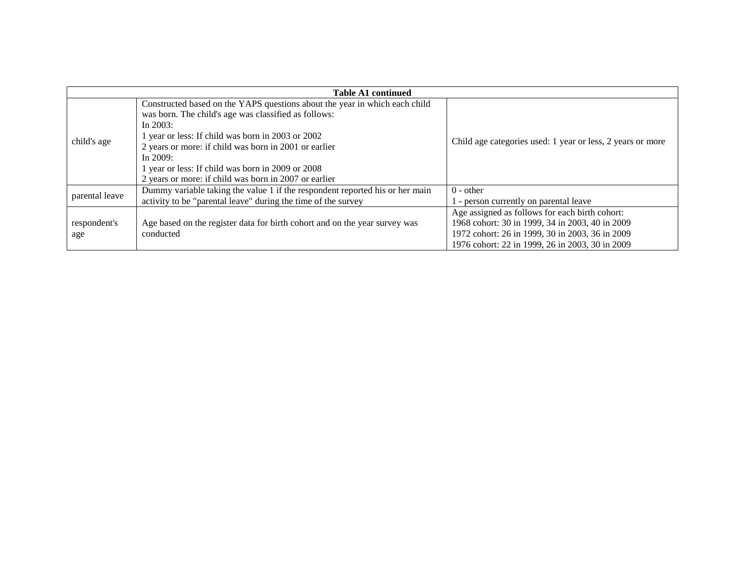|                                                                                                                                                                                                                                                                                                                                                                                                             | <b>Table A1 continued</b>                                                                                                                     |                                                                                                                                                                                                         |
|-------------------------------------------------------------------------------------------------------------------------------------------------------------------------------------------------------------------------------------------------------------------------------------------------------------------------------------------------------------------------------------------------------------|-----------------------------------------------------------------------------------------------------------------------------------------------|---------------------------------------------------------------------------------------------------------------------------------------------------------------------------------------------------------|
| Constructed based on the YAPS questions about the year in which each child<br>was born. The child's age was classified as follows:<br>In $2003$ :<br>1 year or less: If child was born in 2003 or 2002<br>child's age<br>2 years or more: if child was born in 2001 or earlier<br>In $2009$ :<br>1 year or less: If child was born in 2009 or 2008<br>2 years or more: if child was born in 2007 or earlier |                                                                                                                                               | Child age categories used: 1 year or less, 2 years or more                                                                                                                                              |
| parental leave                                                                                                                                                                                                                                                                                                                                                                                              | Dummy variable taking the value 1 if the respondent reported his or her main<br>activity to be "parental leave" during the time of the survey | $0$ - other<br>- person currently on parental leave                                                                                                                                                     |
| respondent's<br>age                                                                                                                                                                                                                                                                                                                                                                                         | Age based on the register data for birth cohort and on the year survey was<br>conducted                                                       | Age assigned as follows for each birth cohort:<br>1968 cohort: 30 in 1999, 34 in 2003, 40 in 2009<br>1972 cohort: 26 in 1999, 30 in 2003, 36 in 2009<br>1976 cohort: 22 in 1999, 26 in 2003, 30 in 2009 |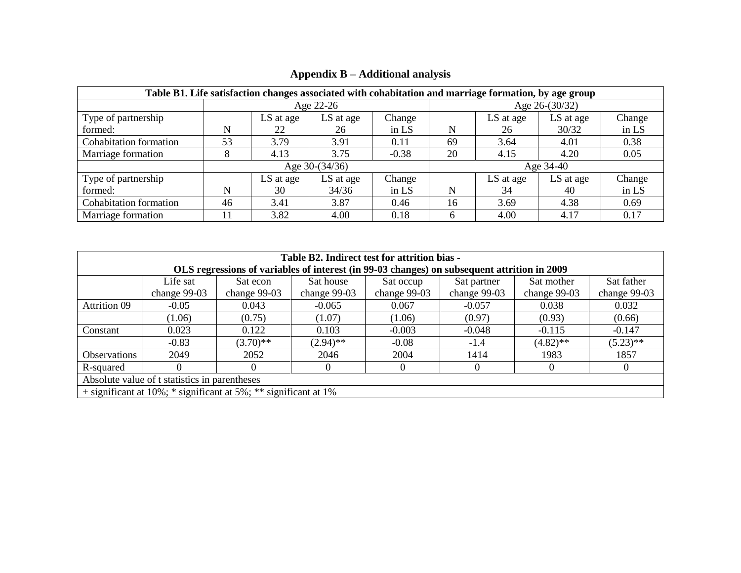| Table B1. Life satisfaction changes associated with cohabitation and marriage formation, by age group |    |             |                  |         |                  |           |           |        |  |
|-------------------------------------------------------------------------------------------------------|----|-------------|------------------|---------|------------------|-----------|-----------|--------|--|
|                                                                                                       |    |             | Age 22-26        |         | Age $26-(30/32)$ |           |           |        |  |
| Type of partnership                                                                                   |    | LS at age   | LS at age        | Change  |                  | LS at age | LS at age | Change |  |
| formed:                                                                                               | N  | 22          | 26               | in LS   | N                | 26        | 30/32     | in LS  |  |
| <b>Cohabitation formation</b>                                                                         | 53 | 3.79        | 3.91             | 0.11    | 69               | 3.64      | 4.01      | 0.38   |  |
| Marriage formation                                                                                    |    | 4.13        | 3.75             | $-0.38$ | 20               | 4.15      | 4.20      | 0.05   |  |
|                                                                                                       |    |             | Age $30-(34/36)$ |         | Age 34-40        |           |           |        |  |
| Type of partnership                                                                                   |    | $LS$ at age | LS at age        | Change  |                  | LS at age | LS at age | Change |  |
| formed:                                                                                               | N  | 30          | 34/36            | in $LS$ | N                | 34        | 40        | in LS  |  |
| Cohabitation formation                                                                                | 46 | 3.41        | 3.87             | 0.46    | 16               | 3.69      | 4.38      | 0.69   |  |
| Marriage formation                                                                                    | 11 | 3.82        | 4.00             | 0.18    | 6                | 4.00      | 4.17      | 0.17   |  |

## **Appendix B – Additional analysis**

|                                                                                             | Table B2. Indirect test for attrition bias - |                                                                   |              |              |              |                |                |  |  |  |
|---------------------------------------------------------------------------------------------|----------------------------------------------|-------------------------------------------------------------------|--------------|--------------|--------------|----------------|----------------|--|--|--|
| OLS regressions of variables of interest (in 99-03 changes) on subsequent attrition in 2009 |                                              |                                                                   |              |              |              |                |                |  |  |  |
|                                                                                             | Life sat                                     | Sat econ                                                          | Sat house    | Sat occup    | Sat partner  | Sat mother     | Sat father     |  |  |  |
|                                                                                             | change $99-03$                               | change $99-03$                                                    | change 99-03 | change 99-03 | change 99-03 | change $99-03$ | change $99-03$ |  |  |  |
| Attrition 09                                                                                | $-0.05$                                      | 0.043                                                             | $-0.065$     | 0.067        | $-0.057$     | 0.038          | 0.032          |  |  |  |
|                                                                                             | (1.06)                                       | (0.75)                                                            | (1.07)       | (1.06)       | (0.97)       | (0.93)         | (0.66)         |  |  |  |
| Constant                                                                                    | 0.023                                        | 0.122                                                             | 0.103        | $-0.003$     | $-0.048$     | $-0.115$       | $-0.147$       |  |  |  |
|                                                                                             | $-0.83$                                      | $(3.70)$ **                                                       | $(2.94)$ **  | $-0.08$      | $-1.4$       | $(4.82)$ **    | $(5.23)$ **    |  |  |  |
| Observations                                                                                | 2049                                         | 2052                                                              | 2046         | 2004         | 1414         | 1983           | 1857           |  |  |  |
| R-squared                                                                                   | $\Omega$                                     | $\Omega$                                                          | $\Omega$     | $\theta$     | 0            | $\Omega$       | $\theta$       |  |  |  |
| Absolute value of t statistics in parentheses                                               |                                              |                                                                   |              |              |              |                |                |  |  |  |
|                                                                                             |                                              | $+$ significant at 10%; * significant at 5%; ** significant at 1% |              |              |              |                |                |  |  |  |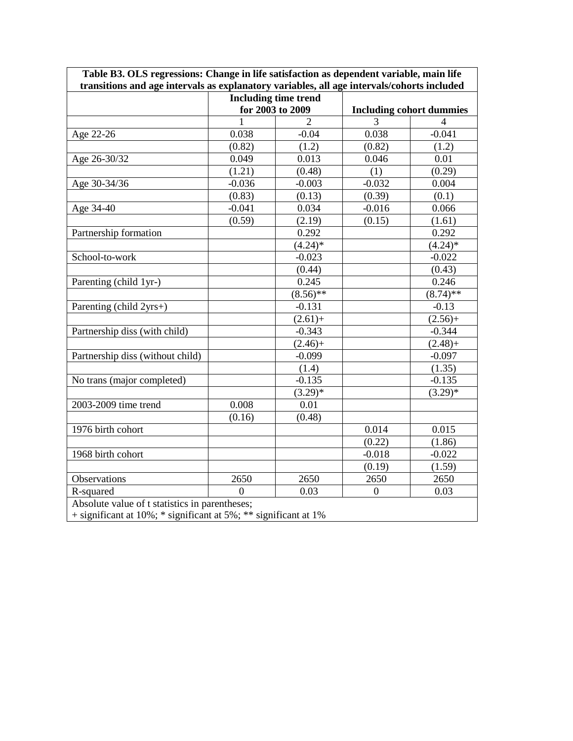|                                  |          | <b>Including time trend</b> |                                 |                |  |
|----------------------------------|----------|-----------------------------|---------------------------------|----------------|--|
|                                  |          | for 2003 to 2009            | <b>Including cohort dummies</b> |                |  |
|                                  | 1        | $\overline{2}$              | 3                               | $\overline{4}$ |  |
| Age 22-26                        | 0.038    | $-0.04$                     | 0.038                           | $-0.041$       |  |
|                                  | (0.82)   | (1.2)                       | (0.82)                          | (1.2)          |  |
| Age 26-30/32                     | 0.049    | 0.013                       | 0.046                           | 0.01           |  |
|                                  | (1.21)   | (0.48)                      | (1)                             | (0.29)         |  |
| Age 30-34/36                     | $-0.036$ | $-0.003$                    | $-0.032$                        | 0.004          |  |
|                                  | (0.83)   | (0.13)                      | (0.39)                          | (0.1)          |  |
| Age 34-40                        | $-0.041$ | 0.034                       | $-0.016$                        | 0.066          |  |
|                                  | (0.59)   | (2.19)                      | (0.15)                          | (1.61)         |  |
| Partnership formation            |          | 0.292                       |                                 | 0.292          |  |
|                                  |          | $(4.24)$ *                  |                                 | $(4.24)$ *     |  |
| School-to-work                   |          | $-0.023$                    |                                 | $-0.022$       |  |
|                                  |          | (0.44)                      |                                 | (0.43)         |  |
| Parenting (child 1yr-)           |          | 0.245                       |                                 | 0.246          |  |
|                                  |          | $(8.56)*$                   |                                 | $(8.74)$ **    |  |
| Parenting (child 2yrs+)          |          | $-0.131$                    |                                 | $-0.13$        |  |
|                                  |          | $(2.61) +$                  |                                 | $(2.56) +$     |  |
| Partnership diss (with child)    |          | $-0.343$                    |                                 | $-0.344$       |  |
|                                  |          | $(2.46) +$                  |                                 | $(2.48) +$     |  |
| Partnership diss (without child) |          | $-0.099$                    |                                 | $-0.097$       |  |
|                                  |          | (1.4)                       |                                 | (1.35)         |  |
| No trans (major completed)       |          | $-0.135$                    |                                 | $-0.135$       |  |
|                                  |          | $(3.29)*$                   |                                 | $(3.29)*$      |  |
| 2003-2009 time trend             | 0.008    | 0.01                        |                                 |                |  |
|                                  | (0.16)   | (0.48)                      |                                 |                |  |
| 1976 birth cohort                |          |                             | 0.014                           | 0.015          |  |
|                                  |          |                             | (0.22)                          | (1.86)         |  |
| 1968 birth cohort                |          |                             | $-0.018$                        | $-0.022$       |  |
|                                  |          |                             | (0.19)                          | (1.59)         |  |
| Observations                     | 2650     | 2650                        | 2650                            | 2650           |  |
| R-squared                        | $\Omega$ | 0.03                        | $\boldsymbol{0}$                | 0.03           |  |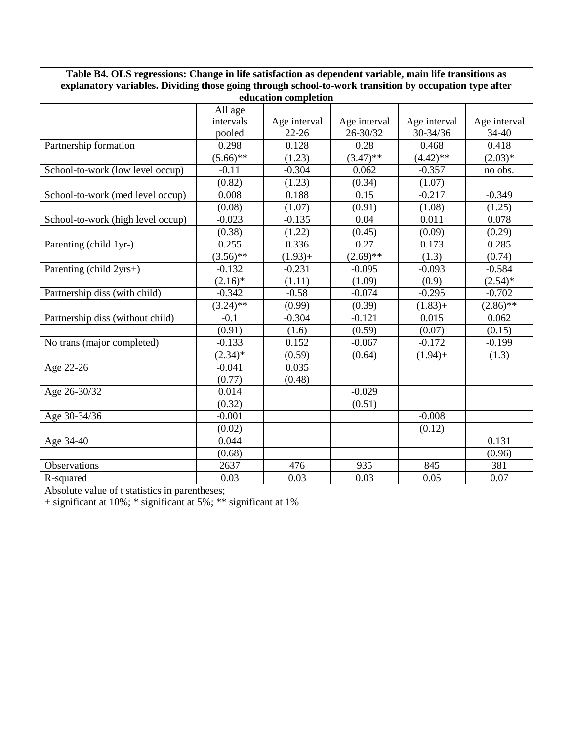| Table B4. OLS regressions: Change in life satisfaction as dependent variable, main life transitions as                         |             |              |              |              |              |  |  |  |  |
|--------------------------------------------------------------------------------------------------------------------------------|-------------|--------------|--------------|--------------|--------------|--|--|--|--|
| explanatory variables. Dividing those going through school-to-work transition by occupation type after<br>education completion |             |              |              |              |              |  |  |  |  |
|                                                                                                                                | All age     |              |              |              |              |  |  |  |  |
|                                                                                                                                | intervals   | Age interval | Age interval | Age interval | Age interval |  |  |  |  |
|                                                                                                                                | pooled      | $22 - 26$    | 26-30/32     | 30-34/36     | 34-40        |  |  |  |  |
| Partnership formation                                                                                                          | 0.298       | 0.128        | 0.28         | 0.468        | 0.418        |  |  |  |  |
|                                                                                                                                | $(5.66)$ ** | (1.23)       | $(3.47)$ **  | $(4.42)$ **  | $(2.03)*$    |  |  |  |  |
| School-to-work (low level occup)                                                                                               | $-0.11$     | $-0.304$     | 0.062        | $-0.357$     | no obs.      |  |  |  |  |
|                                                                                                                                | (0.82)      | (1.23)       | (0.34)       | (1.07)       |              |  |  |  |  |
| School-to-work (med level occup)                                                                                               | 0.008       | 0.188        | 0.15         | $-0.217$     | $-0.349$     |  |  |  |  |
|                                                                                                                                | (0.08)      | (1.07)       | (0.91)       | (1.08)       | (1.25)       |  |  |  |  |
| School-to-work (high level occup)                                                                                              | $-0.023$    | $-0.135$     | 0.04         | 0.011        | 0.078        |  |  |  |  |
|                                                                                                                                | (0.38)      | (1.22)       | (0.45)       | (0.09)       | (0.29)       |  |  |  |  |
| Parenting (child 1yr-)                                                                                                         | 0.255       | 0.336        | 0.27         | 0.173        | 0.285        |  |  |  |  |
|                                                                                                                                | $(3.56)$ ** | $(1.93) +$   | $(2.69)$ **  | (1.3)        | (0.74)       |  |  |  |  |
| Parenting (child 2yrs+)                                                                                                        | $-0.132$    | $-0.231$     | $-0.095$     | $-0.093$     | $-0.584$     |  |  |  |  |
|                                                                                                                                | $(2.16)^*$  | (1.11)       | (1.09)       | (0.9)        | $(2.54)^*$   |  |  |  |  |
| Partnership diss (with child)                                                                                                  | $-0.342$    | $-0.58$      | $-0.074$     | $-0.295$     | $-0.702$     |  |  |  |  |
|                                                                                                                                | $(3.24)$ ** | (0.99)       | (0.39)       | $(1.83) +$   | $(2.86)$ **  |  |  |  |  |
| Partnership diss (without child)                                                                                               | $-0.1$      | $-0.304$     | $-0.121$     | 0.015        | 0.062        |  |  |  |  |
|                                                                                                                                | (0.91)      | (1.6)        | (0.59)       | (0.07)       | (0.15)       |  |  |  |  |
| No trans (major completed)                                                                                                     | $-0.133$    | 0.152        | $-0.067$     | $-0.172$     | $-0.199$     |  |  |  |  |
|                                                                                                                                | $(2.34)^*$  | (0.59)       | (0.64)       | $(1.94) +$   | (1.3)        |  |  |  |  |
| Age 22-26                                                                                                                      | $-0.041$    | 0.035        |              |              |              |  |  |  |  |
|                                                                                                                                | (0.77)      | (0.48)       |              |              |              |  |  |  |  |
| Age 26-30/32                                                                                                                   | 0.014       |              | $-0.029$     |              |              |  |  |  |  |
|                                                                                                                                | (0.32)      |              | (0.51)       |              |              |  |  |  |  |
| Age 30-34/36                                                                                                                   | $-0.001$    |              |              | $-0.008$     |              |  |  |  |  |
|                                                                                                                                | (0.02)      |              |              | (0.12)       |              |  |  |  |  |
| Age 34-40                                                                                                                      | 0.044       |              |              |              | 0.131        |  |  |  |  |
|                                                                                                                                | (0.68)      |              |              |              | (0.96)       |  |  |  |  |
| Observations                                                                                                                   | 2637        | 476          | 935          | 845          | 381          |  |  |  |  |
| R-squared                                                                                                                      | 0.03        | 0.03         | 0.03         | 0.05         | 0.07         |  |  |  |  |
| Absolute value of t statistics in parentheses;<br>+ significant at 10%; * significant at 5%; ** significant at 1%              |             |              |              |              |              |  |  |  |  |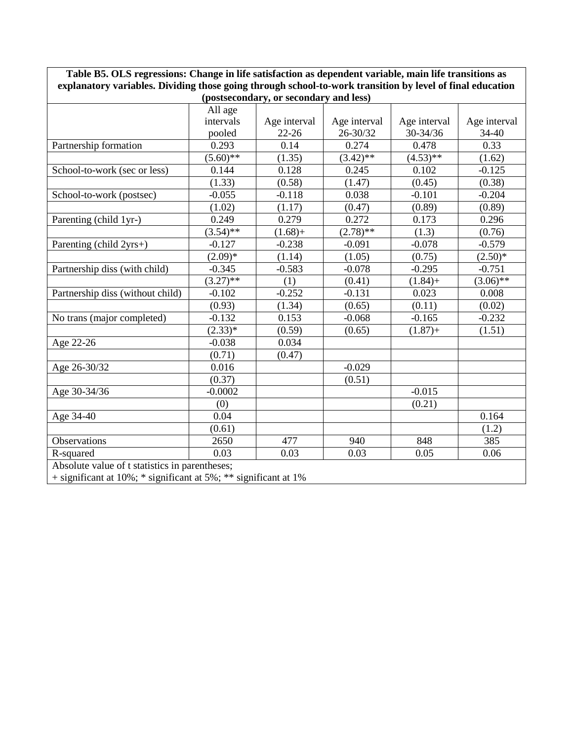| Table B5. OLS regressions: Change in life satisfaction as dependent variable, main life transitions as    |             |              |              |              |              |
|-----------------------------------------------------------------------------------------------------------|-------------|--------------|--------------|--------------|--------------|
| explanatory variables. Dividing those going through school-to-work transition by level of final education |             |              |              |              |              |
| (postsecondary, or secondary and less)                                                                    |             |              |              |              |              |
|                                                                                                           | All age     |              |              |              |              |
|                                                                                                           | intervals   | Age interval | Age interval | Age interval | Age interval |
|                                                                                                           | pooled      | $22 - 26$    | 26-30/32     | 30-34/36     | 34-40        |
| Partnership formation                                                                                     | 0.293       | 0.14         | 0.274        | 0.478        | 0.33         |
|                                                                                                           | $(5.60)$ ** | (1.35)       | $(3.42)$ **  | $(4.53)$ **  | (1.62)       |
| School-to-work (sec or less)                                                                              | 0.144       | 0.128        | 0.245        | 0.102        | $-0.125$     |
|                                                                                                           | (1.33)      | (0.58)       | (1.47)       | (0.45)       | (0.38)       |
| School-to-work (postsec)                                                                                  | $-0.055$    | $-0.118$     | 0.038        | $-0.101$     | $-0.204$     |
|                                                                                                           | (1.02)      | (1.17)       | (0.47)       | (0.89)       | (0.89)       |
| Parenting (child 1yr-)                                                                                    | 0.249       | 0.279        | 0.272        | 0.173        | 0.296        |
|                                                                                                           | $(3.54)$ ** | $(1.68) +$   | $(2.78)$ **  | (1.3)        | (0.76)       |
| Parenting (child 2yrs+)                                                                                   | $-0.127$    | $-0.238$     | $-0.091$     | $-0.078$     | $-0.579$     |
|                                                                                                           | $(2.09)*$   | (1.14)       | (1.05)       | (0.75)       | $(2.50)*$    |
| Partnership diss (with child)                                                                             | $-0.345$    | $-0.583$     | $-0.078$     | $-0.295$     | $-0.751$     |
|                                                                                                           | $(3.27)$ ** | (1)          | (0.41)       | $(1.84) +$   | $(3.06)$ **  |
| Partnership diss (without child)                                                                          | $-0.102$    | $-0.252$     | $-0.131$     | 0.023        | 0.008        |
|                                                                                                           | (0.93)      | (1.34)       | (0.65)       | (0.11)       | (0.02)       |
| No trans (major completed)                                                                                | $-0.132$    | 0.153        | $-0.068$     | $-0.165$     | $-0.232$     |
|                                                                                                           | $(2.33)*$   | (0.59)       | (0.65)       | $(1.87) +$   | (1.51)       |
| Age 22-26                                                                                                 | $-0.038$    | 0.034        |              |              |              |
|                                                                                                           | (0.71)      | (0.47)       |              |              |              |
| Age 26-30/32                                                                                              | 0.016       |              | $-0.029$     |              |              |
|                                                                                                           | (0.37)      |              | (0.51)       |              |              |
| Age 30-34/36                                                                                              | $-0.0002$   |              |              | $-0.015$     |              |
|                                                                                                           | (0)         |              |              | (0.21)       |              |
| Age 34-40                                                                                                 | 0.04        |              |              |              | 0.164        |
|                                                                                                           | (0.61)      |              |              |              | (1.2)        |
| Observations                                                                                              | 2650        | 477          | 940          | 848          | 385          |
| R-squared                                                                                                 | 0.03        | 0.03         | 0.03         | 0.05         | 0.06         |
| Absolute value of t statistics in parentheses;                                                            |             |              |              |              |              |

**Table B5. OLS regressions: Change in life satisfaction as dependent variable, main life transitions as** 

+ significant at 10%; \* significant at 5%; \*\* significant at 1%

ſ